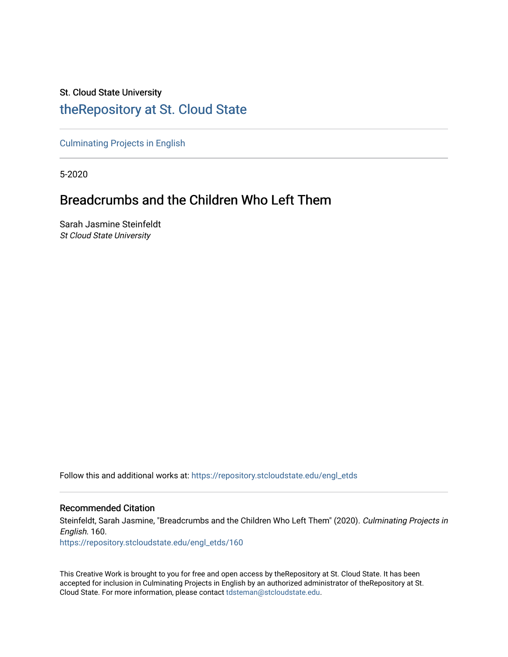## St. Cloud State University [theRepository at St. Cloud State](https://repository.stcloudstate.edu/)

[Culminating Projects in English](https://repository.stcloudstate.edu/engl_etds) 

5-2020

# Breadcrumbs and the Children Who Left Them

Sarah Jasmine Steinfeldt St Cloud State University

Follow this and additional works at: [https://repository.stcloudstate.edu/engl\\_etds](https://repository.stcloudstate.edu/engl_etds?utm_source=repository.stcloudstate.edu%2Fengl_etds%2F160&utm_medium=PDF&utm_campaign=PDFCoverPages)

#### Recommended Citation

Steinfeldt, Sarah Jasmine, "Breadcrumbs and the Children Who Left Them" (2020). Culminating Projects in English. 160.

[https://repository.stcloudstate.edu/engl\\_etds/160](https://repository.stcloudstate.edu/engl_etds/160?utm_source=repository.stcloudstate.edu%2Fengl_etds%2F160&utm_medium=PDF&utm_campaign=PDFCoverPages)

This Creative Work is brought to you for free and open access by theRepository at St. Cloud State. It has been accepted for inclusion in Culminating Projects in English by an authorized administrator of theRepository at St. Cloud State. For more information, please contact [tdsteman@stcloudstate.edu.](mailto:tdsteman@stcloudstate.edu)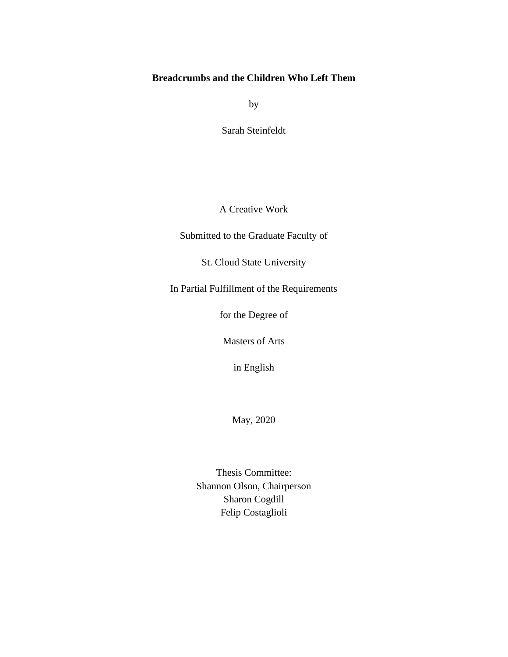### **Breadcrumbs and the Children Who Left Them**

by

Sarah Steinfeldt

A Creative Work

Submitted to the Graduate Faculty of

St. Cloud State University

In Partial Fulfillment of the Requirements

for the Degree of

Masters of Arts

in English

May, 2020

Thesis Committee: Shannon Olson, Chairperson Sharon Cogdill Felip Costaglioli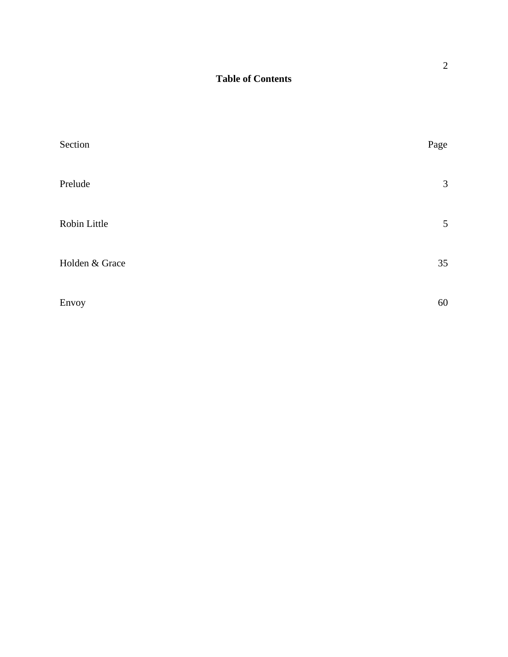## **Table of Contents**

| Section        | Page           |
|----------------|----------------|
| Prelude        | $\mathfrak{Z}$ |
| Robin Little   | 5              |
| Holden & Grace | 35             |
| Envoy          | 60             |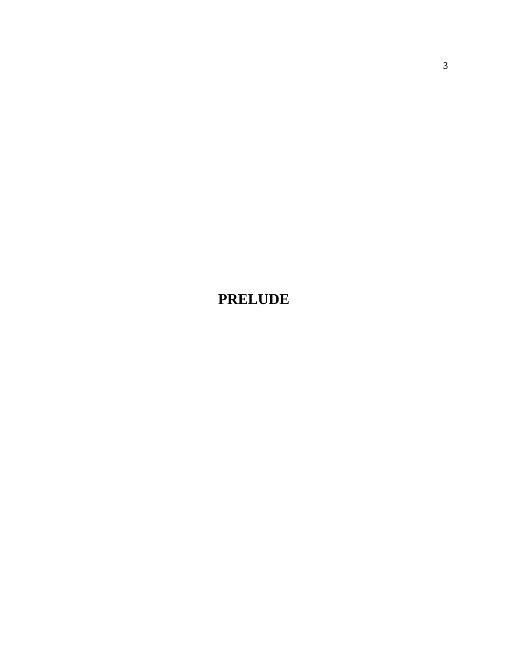**PRELUDE**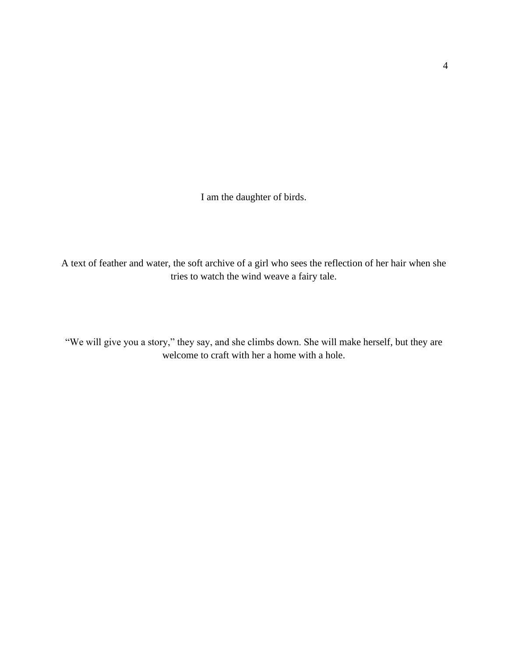I am the daughter of birds.

A text of feather and water, the soft archive of a girl who sees the reflection of her hair when she tries to watch the wind weave a fairy tale.

"We will give you a story," they say, and she climbs down. She will make herself, but they are welcome to craft with her a home with a hole.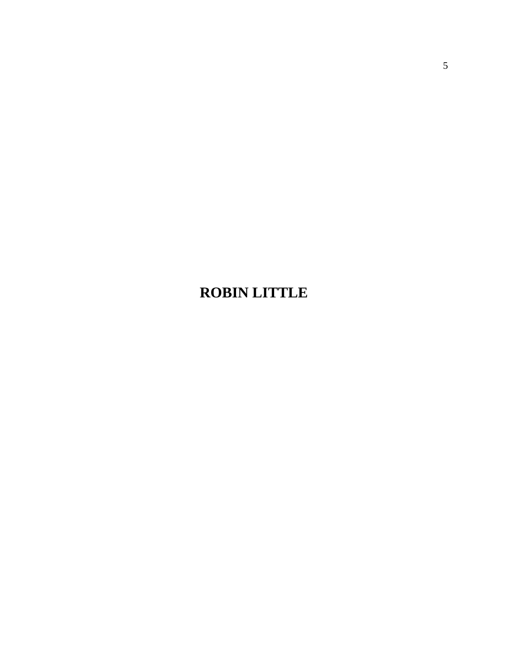# **ROBIN LITTLE**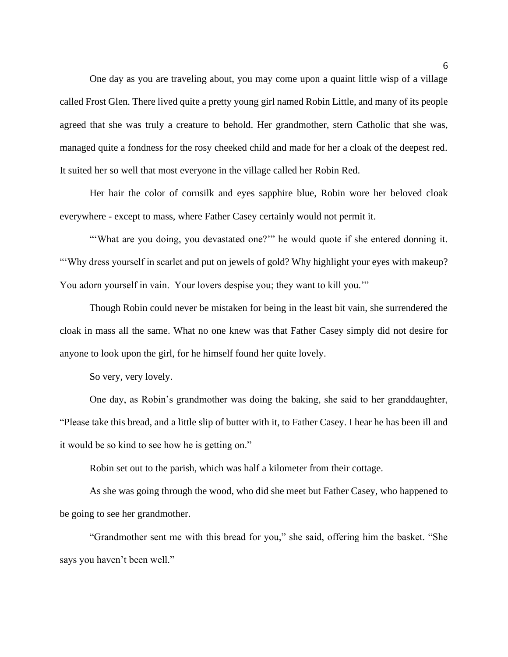One day as you are traveling about, you may come upon a quaint little wisp of a village called Frost Glen. There lived quite a pretty young girl named Robin Little, and many of its people agreed that she was truly a creature to behold. Her grandmother, stern Catholic that she was, managed quite a fondness for the rosy cheeked child and made for her a cloak of the deepest red. It suited her so well that most everyone in the village called her Robin Red.

Her hair the color of cornsilk and eyes sapphire blue, Robin wore her beloved cloak everywhere - except to mass, where Father Casey certainly would not permit it.

"'What are you doing, you devastated one?'" he would quote if she entered donning it. "'Why dress yourself in scarlet and put on jewels of gold? Why highlight your eyes with makeup? You adorn yourself in vain. Your lovers despise you; they want to kill you.'"

Though Robin could never be mistaken for being in the least bit vain, she surrendered the cloak in mass all the same. What no one knew was that Father Casey simply did not desire for anyone to look upon the girl, for he himself found her quite lovely.

So very, very lovely.

One day, as Robin's grandmother was doing the baking, she said to her granddaughter, "Please take this bread, and a little slip of butter with it, to Father Casey. I hear he has been ill and it would be so kind to see how he is getting on."

Robin set out to the parish, which was half a kilometer from their cottage.

As she was going through the wood, who did she meet but Father Casey, who happened to be going to see her grandmother.

"Grandmother sent me with this bread for you," she said, offering him the basket. "She says you haven't been well."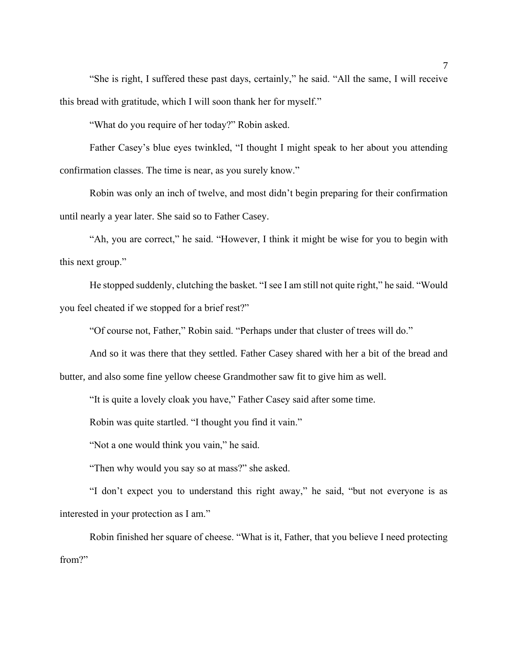"She is right, I suffered these past days, certainly," he said. "All the same, I will receive this bread with gratitude, which I will soon thank her for myself."

"What do you require of her today?" Robin asked.

Father Casey's blue eyes twinkled, "I thought I might speak to her about you attending confirmation classes. The time is near, as you surely know."

Robin was only an inch of twelve, and most didn't begin preparing for their confirmation until nearly a year later. She said so to Father Casey.

"Ah, you are correct," he said. "However, I think it might be wise for you to begin with this next group."

He stopped suddenly, clutching the basket. "I see I am still not quite right," he said. "Would you feel cheated if we stopped for a brief rest?"

"Of course not, Father," Robin said. "Perhaps under that cluster of trees will do."

And so it was there that they settled. Father Casey shared with her a bit of the bread and butter, and also some fine yellow cheese Grandmother saw fit to give him as well.

"It is quite a lovely cloak you have," Father Casey said after some time.

Robin was quite startled. "I thought you find it vain."

"Not a one would think you vain," he said.

"Then why would you say so at mass?" she asked.

"I don't expect you to understand this right away," he said, "but not everyone is as interested in your protection as I am."

Robin finished her square of cheese. "What is it, Father, that you believe I need protecting from?"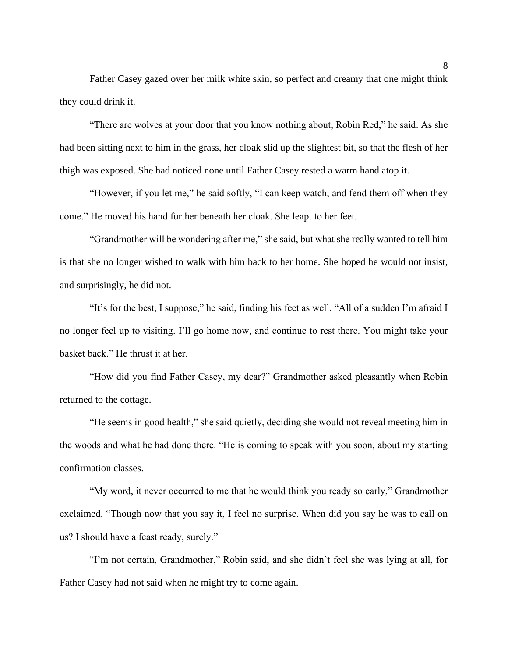Father Casey gazed over her milk white skin, so perfect and creamy that one might think they could drink it.

"There are wolves at your door that you know nothing about, Robin Red," he said. As she had been sitting next to him in the grass, her cloak slid up the slightest bit, so that the flesh of her thigh was exposed. She had noticed none until Father Casey rested a warm hand atop it.

"However, if you let me," he said softly, "I can keep watch, and fend them off when they come." He moved his hand further beneath her cloak. She leapt to her feet.

"Grandmother will be wondering after me," she said, but what she really wanted to tell him is that she no longer wished to walk with him back to her home. She hoped he would not insist, and surprisingly, he did not.

"It's for the best, I suppose," he said, finding his feet as well. "All of a sudden I'm afraid I no longer feel up to visiting. I'll go home now, and continue to rest there. You might take your basket back." He thrust it at her.

"How did you find Father Casey, my dear?" Grandmother asked pleasantly when Robin returned to the cottage.

"He seems in good health," she said quietly, deciding she would not reveal meeting him in the woods and what he had done there. "He is coming to speak with you soon, about my starting confirmation classes.

"My word, it never occurred to me that he would think you ready so early," Grandmother exclaimed. "Though now that you say it, I feel no surprise. When did you say he was to call on us? I should have a feast ready, surely."

"I'm not certain, Grandmother," Robin said, and she didn't feel she was lying at all, for Father Casey had not said when he might try to come again.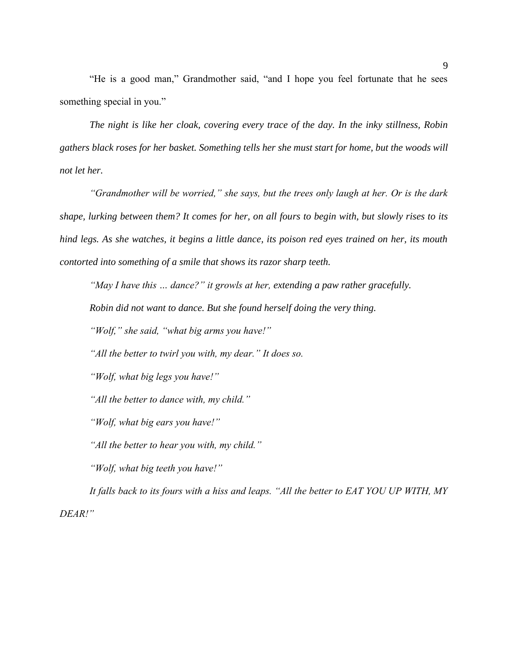"He is a good man," Grandmother said, "and I hope you feel fortunate that he sees something special in you."

*The night is like her cloak, covering every trace of the day. In the inky stillness, Robin gathers black roses for her basket. Something tells her she must start for home, but the woods will not let her.*

*"Grandmother will be worried," she says, but the trees only laugh at her. Or is the dark shape, lurking between them? It comes for her, on all fours to begin with, but slowly rises to its hind legs. As she watches, it begins a little dance, its poison red eyes trained on her, its mouth contorted into something of a smile that shows its razor sharp teeth.*

*"May I have this … dance?" it growls at her, extending a paw rather gracefully.* 

*Robin did not want to dance. But she found herself doing the very thing.*

*"Wolf," she said, "what big arms you have!"*

*"All the better to twirl you with, my dear." It does so.*

*"Wolf, what big legs you have!"*

*"All the better to dance with, my child."*

*"Wolf, what big ears you have!"*

*"All the better to hear you with, my child."*

*"Wolf, what big teeth you have!"*

*It falls back to its fours with a hiss and leaps. "All the better to EAT YOU UP WITH, MY DEAR!"*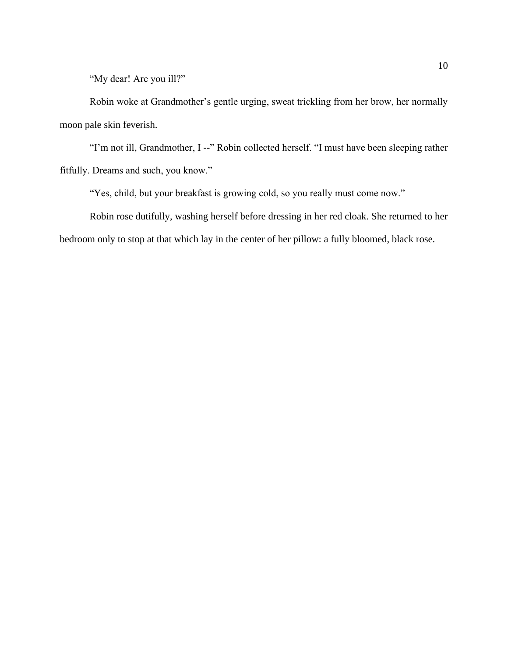"My dear! Are you ill?"

Robin woke at Grandmother's gentle urging, sweat trickling from her brow, her normally moon pale skin feverish.

"I'm not ill, Grandmother, I --" Robin collected herself. "I must have been sleeping rather fitfully. Dreams and such, you know."

"Yes, child, but your breakfast is growing cold, so you really must come now."

Robin rose dutifully, washing herself before dressing in her red cloak. She returned to her bedroom only to stop at that which lay in the center of her pillow: a fully bloomed, black rose.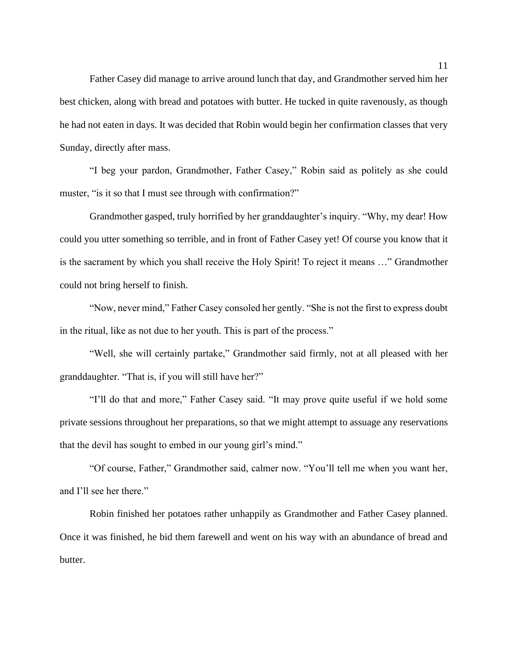Father Casey did manage to arrive around lunch that day, and Grandmother served him her best chicken, along with bread and potatoes with butter. He tucked in quite ravenously, as though he had not eaten in days. It was decided that Robin would begin her confirmation classes that very Sunday, directly after mass.

"I beg your pardon, Grandmother, Father Casey," Robin said as politely as she could muster, "is it so that I must see through with confirmation?"

Grandmother gasped, truly horrified by her granddaughter's inquiry. "Why, my dear! How could you utter something so terrible, and in front of Father Casey yet! Of course you know that it is the sacrament by which you shall receive the Holy Spirit! To reject it means …" Grandmother could not bring herself to finish.

"Now, never mind," Father Casey consoled her gently. "She is not the first to express doubt in the ritual, like as not due to her youth. This is part of the process."

"Well, she will certainly partake," Grandmother said firmly, not at all pleased with her granddaughter. "That is, if you will still have her?"

"I'll do that and more," Father Casey said. "It may prove quite useful if we hold some private sessions throughout her preparations, so that we might attempt to assuage any reservations that the devil has sought to embed in our young girl's mind."

"Of course, Father," Grandmother said, calmer now. "You'll tell me when you want her, and I'll see her there."

Robin finished her potatoes rather unhappily as Grandmother and Father Casey planned. Once it was finished, he bid them farewell and went on his way with an abundance of bread and butter.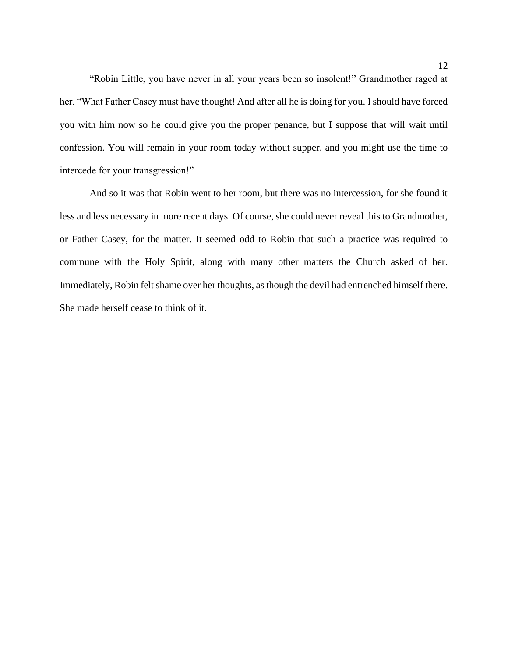"Robin Little, you have never in all your years been so insolent!" Grandmother raged at her. "What Father Casey must have thought! And after all he is doing for you. I should have forced you with him now so he could give you the proper penance, but I suppose that will wait until confession. You will remain in your room today without supper, and you might use the time to intercede for your transgression!"

And so it was that Robin went to her room, but there was no intercession, for she found it less and less necessary in more recent days. Of course, she could never reveal this to Grandmother, or Father Casey, for the matter. It seemed odd to Robin that such a practice was required to commune with the Holy Spirit, along with many other matters the Church asked of her. Immediately, Robin felt shame over her thoughts, as though the devil had entrenched himself there. She made herself cease to think of it.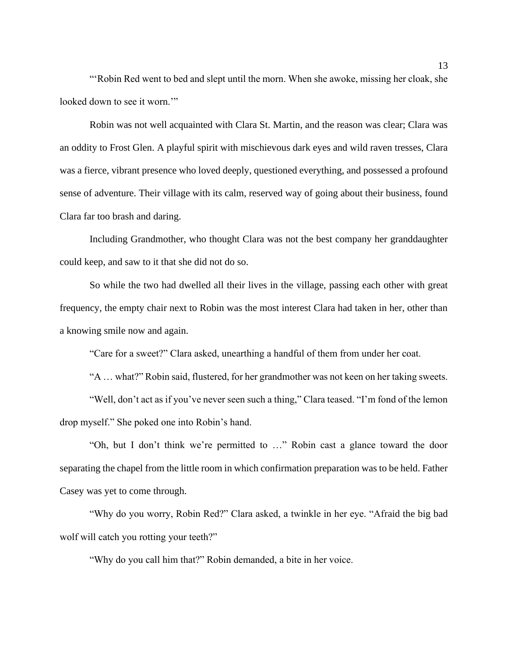"'Robin Red went to bed and slept until the morn. When she awoke, missing her cloak, she looked down to see it worn."

Robin was not well acquainted with Clara St. Martin, and the reason was clear; Clara was an oddity to Frost Glen. A playful spirit with mischievous dark eyes and wild raven tresses, Clara was a fierce, vibrant presence who loved deeply, questioned everything, and possessed a profound sense of adventure. Their village with its calm, reserved way of going about their business, found Clara far too brash and daring.

Including Grandmother, who thought Clara was not the best company her granddaughter could keep, and saw to it that she did not do so.

So while the two had dwelled all their lives in the village, passing each other with great frequency, the empty chair next to Robin was the most interest Clara had taken in her, other than a knowing smile now and again.

"Care for a sweet?" Clara asked, unearthing a handful of them from under her coat.

"A … what?" Robin said, flustered, for her grandmother was not keen on her taking sweets.

"Well, don't act as if you've never seen such a thing," Clara teased. "I'm fond of the lemon drop myself." She poked one into Robin's hand.

"Oh, but I don't think we're permitted to …" Robin cast a glance toward the door separating the chapel from the little room in which confirmation preparation was to be held. Father Casey was yet to come through.

"Why do you worry, Robin Red?" Clara asked, a twinkle in her eye. "Afraid the big bad wolf will catch you rotting your teeth?"

"Why do you call him that?" Robin demanded, a bite in her voice.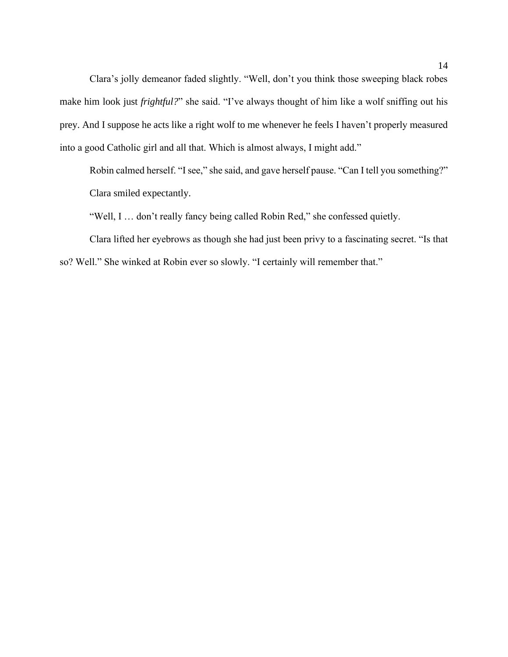Clara's jolly demeanor faded slightly. "Well, don't you think those sweeping black robes make him look just *frightful?*" she said. "I've always thought of him like a wolf sniffing out his prey. And I suppose he acts like a right wolf to me whenever he feels I haven't properly measured into a good Catholic girl and all that. Which is almost always, I might add."

Robin calmed herself. "I see," she said, and gave herself pause. "Can I tell you something?" Clara smiled expectantly.

"Well, I … don't really fancy being called Robin Red," she confessed quietly.

Clara lifted her eyebrows as though she had just been privy to a fascinating secret. "Is that so? Well." She winked at Robin ever so slowly. "I certainly will remember that."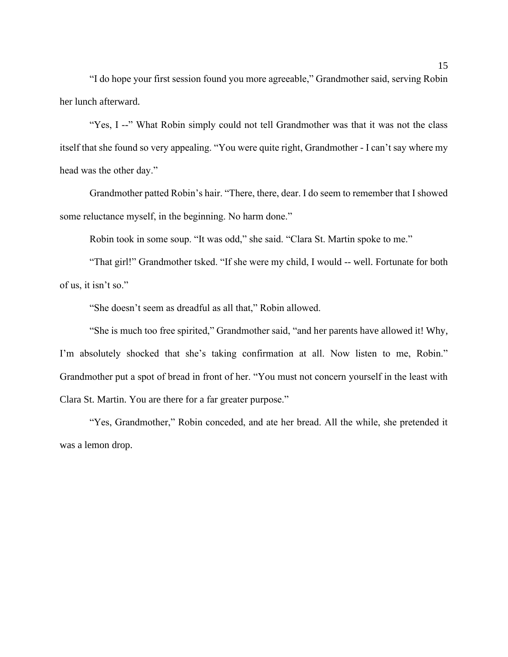"I do hope your first session found you more agreeable," Grandmother said, serving Robin her lunch afterward.

"Yes, I --" What Robin simply could not tell Grandmother was that it was not the class itself that she found so very appealing. "You were quite right, Grandmother - I can't say where my head was the other day."

Grandmother patted Robin's hair. "There, there, dear. I do seem to remember that I showed some reluctance myself, in the beginning. No harm done."

Robin took in some soup. "It was odd," she said. "Clara St. Martin spoke to me."

"That girl!" Grandmother tsked. "If she were my child, I would -- well. Fortunate for both of us, it isn't so."

"She doesn't seem as dreadful as all that," Robin allowed.

"She is much too free spirited," Grandmother said, "and her parents have allowed it! Why, I'm absolutely shocked that she's taking confirmation at all. Now listen to me, Robin." Grandmother put a spot of bread in front of her. "You must not concern yourself in the least with Clara St. Martin. You are there for a far greater purpose."

"Yes, Grandmother," Robin conceded, and ate her bread. All the while, she pretended it was a lemon drop.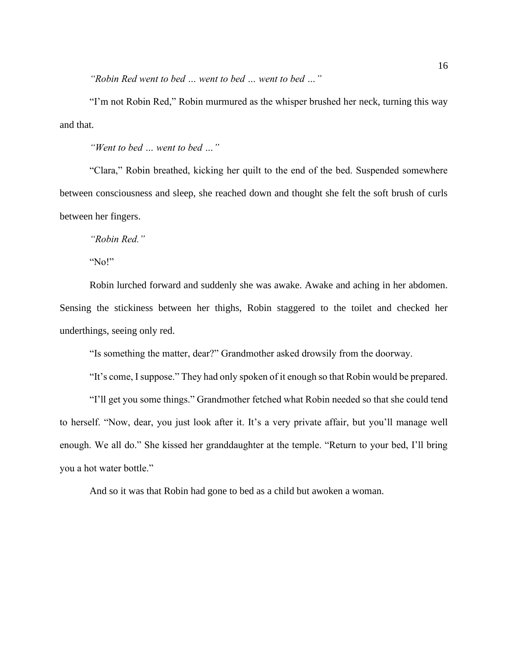*"Robin Red went to bed … went to bed … went to bed …"*

"I'm not Robin Red," Robin murmured as the whisper brushed her neck, turning this way and that.

*"Went to bed … went to bed …"*

"Clara," Robin breathed, kicking her quilt to the end of the bed. Suspended somewhere between consciousness and sleep, she reached down and thought she felt the soft brush of curls between her fingers.

*"Robin Red."*

"No!"

Robin lurched forward and suddenly she was awake. Awake and aching in her abdomen. Sensing the stickiness between her thighs, Robin staggered to the toilet and checked her underthings, seeing only red.

"Is something the matter, dear?" Grandmother asked drowsily from the doorway.

"It's come, I suppose." They had only spoken of it enough so that Robin would be prepared.

"I'll get you some things." Grandmother fetched what Robin needed so that she could tend to herself. "Now, dear, you just look after it. It's a very private affair, but you'll manage well enough. We all do." She kissed her granddaughter at the temple. "Return to your bed, I'll bring you a hot water bottle."

And so it was that Robin had gone to bed as a child but awoken a woman.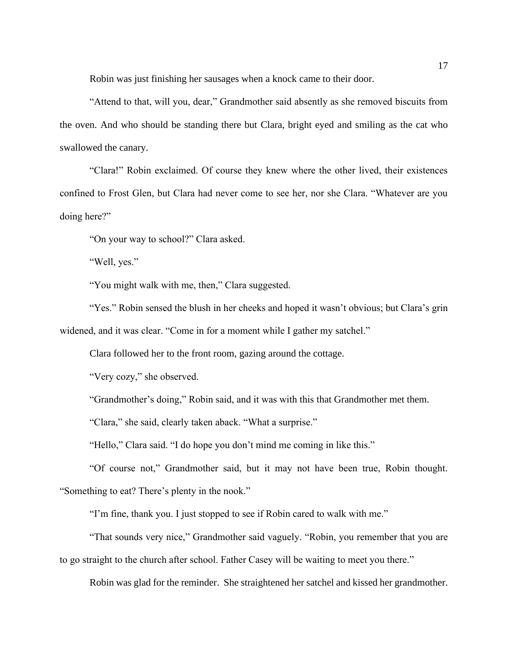Robin was just finishing her sausages when a knock came to their door.

"Attend to that, will you, dear," Grandmother said absently as she removed biscuits from the oven. And who should be standing there but Clara, bright eyed and smiling as the cat who swallowed the canary.

"Clara!" Robin exclaimed. Of course they knew where the other lived, their existences confined to Frost Glen, but Clara had never come to see her, nor she Clara. "Whatever are you doing here?"

"On your way to school?" Clara asked.

"Well, yes."

"You might walk with me, then," Clara suggested.

"Yes." Robin sensed the blush in her cheeks and hoped it wasn't obvious; but Clara's grin widened, and it was clear. "Come in for a moment while I gather my satchel."

Clara followed her to the front room, gazing around the cottage.

"Very cozy," she observed.

"Grandmother's doing," Robin said, and it was with this that Grandmother met them.

"Clara," she said, clearly taken aback. "What a surprise."

"Hello," Clara said. "I do hope you don't mind me coming in like this."

"Of course not," Grandmother said, but it may not have been true, Robin thought.

"Something to eat? There's plenty in the nook."

"I'm fine, thank you. I just stopped to see if Robin cared to walk with me."

"That sounds very nice," Grandmother said vaguely. "Robin, you remember that you are to go straight to the church after school. Father Casey will be waiting to meet you there."

Robin was glad for the reminder. She straightened her satchel and kissed her grandmother.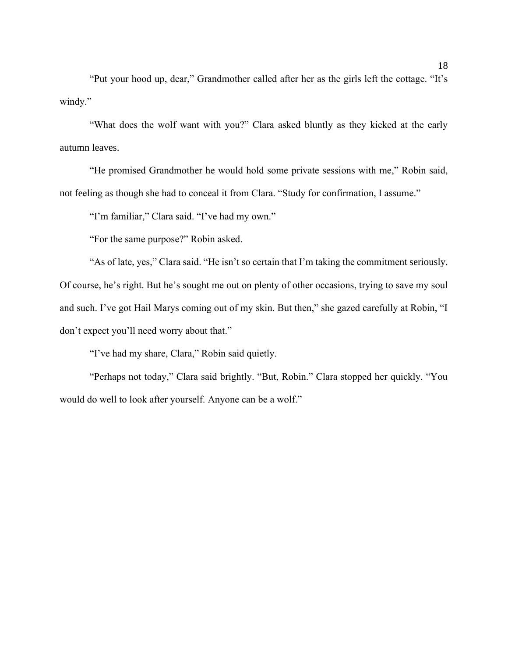"Put your hood up, dear," Grandmother called after her as the girls left the cottage. "It's windy."

"What does the wolf want with you?" Clara asked bluntly as they kicked at the early autumn leaves.

"He promised Grandmother he would hold some private sessions with me," Robin said, not feeling as though she had to conceal it from Clara. "Study for confirmation, I assume."

"I'm familiar," Clara said. "I've had my own."

"For the same purpose?" Robin asked.

"As of late, yes," Clara said. "He isn't so certain that I'm taking the commitment seriously. Of course, he's right. But he's sought me out on plenty of other occasions, trying to save my soul and such. I've got Hail Marys coming out of my skin. But then," she gazed carefully at Robin, "I don't expect you'll need worry about that."

"I've had my share, Clara," Robin said quietly.

"Perhaps not today," Clara said brightly. "But, Robin." Clara stopped her quickly. "You would do well to look after yourself. Anyone can be a wolf."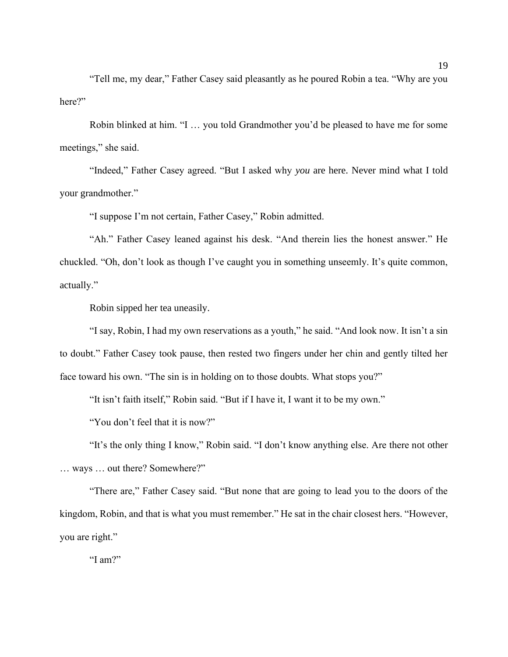"Tell me, my dear," Father Casey said pleasantly as he poured Robin a tea. "Why are you here?"

Robin blinked at him. "I … you told Grandmother you'd be pleased to have me for some meetings," she said.

"Indeed," Father Casey agreed. "But I asked why *you* are here. Never mind what I told your grandmother."

"I suppose I'm not certain, Father Casey," Robin admitted.

"Ah." Father Casey leaned against his desk. "And therein lies the honest answer." He chuckled. "Oh, don't look as though I've caught you in something unseemly. It's quite common, actually."

Robin sipped her tea uneasily.

"I say, Robin, I had my own reservations as a youth," he said. "And look now. It isn't a sin to doubt." Father Casey took pause, then rested two fingers under her chin and gently tilted her face toward his own. "The sin is in holding on to those doubts. What stops you?"

"It isn't faith itself," Robin said. "But if I have it, I want it to be my own."

"You don't feel that it is now?"

"It's the only thing I know," Robin said. "I don't know anything else. Are there not other … ways … out there? Somewhere?"

"There are," Father Casey said. "But none that are going to lead you to the doors of the kingdom, Robin, and that is what you must remember." He sat in the chair closest hers. "However, you are right."

"I am?"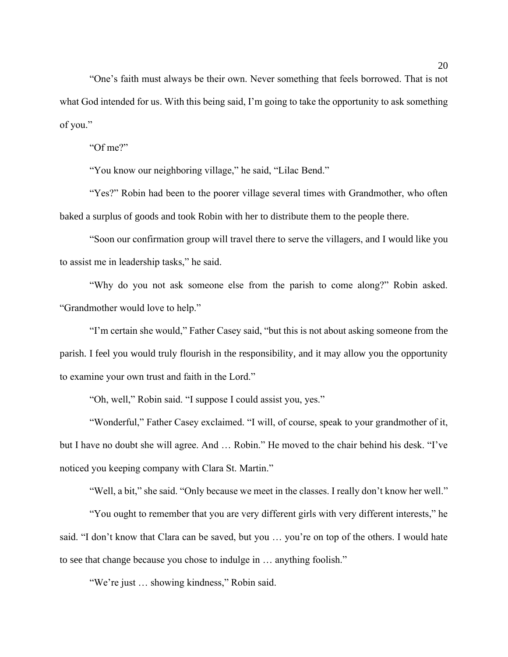"One's faith must always be their own. Never something that feels borrowed. That is not what God intended for us. With this being said, I'm going to take the opportunity to ask something of you."

"Of me?"

"You know our neighboring village," he said, "Lilac Bend."

"Yes?" Robin had been to the poorer village several times with Grandmother, who often baked a surplus of goods and took Robin with her to distribute them to the people there.

"Soon our confirmation group will travel there to serve the villagers, and I would like you to assist me in leadership tasks," he said.

"Why do you not ask someone else from the parish to come along?" Robin asked. "Grandmother would love to help."

"I'm certain she would," Father Casey said, "but this is not about asking someone from the parish. I feel you would truly flourish in the responsibility, and it may allow you the opportunity to examine your own trust and faith in the Lord."

"Oh, well," Robin said. "I suppose I could assist you, yes."

"Wonderful," Father Casey exclaimed. "I will, of course, speak to your grandmother of it, but I have no doubt she will agree. And … Robin." He moved to the chair behind his desk. "I've noticed you keeping company with Clara St. Martin."

"Well, a bit," she said. "Only because we meet in the classes. I really don't know her well."

"You ought to remember that you are very different girls with very different interests," he said. "I don't know that Clara can be saved, but you … you're on top of the others. I would hate to see that change because you chose to indulge in … anything foolish."

"We're just … showing kindness," Robin said.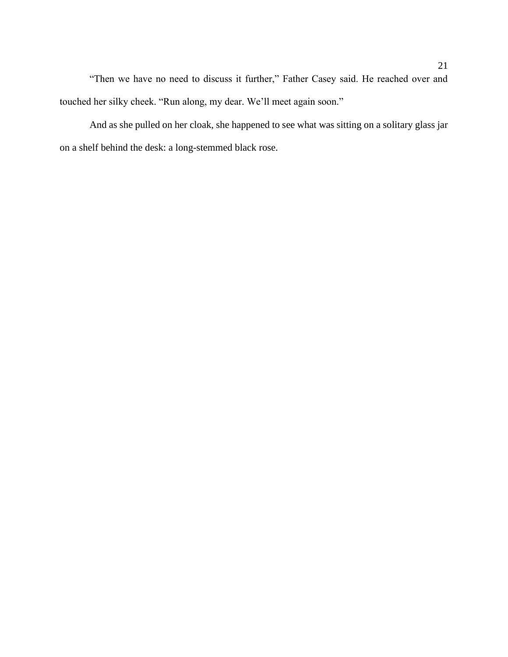"Then we have no need to discuss it further," Father Casey said. He reached over and touched her silky cheek. "Run along, my dear. We'll meet again soon."

And as she pulled on her cloak, she happened to see what was sitting on a solitary glass jar on a shelf behind the desk: a long-stemmed black rose.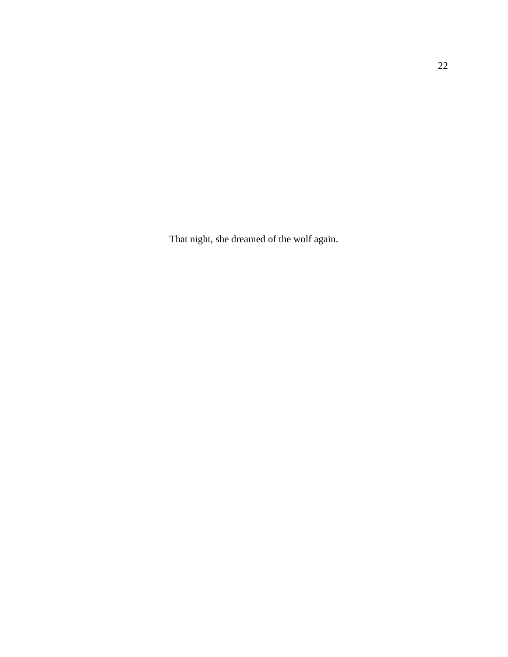That night, she dreamed of the wolf again.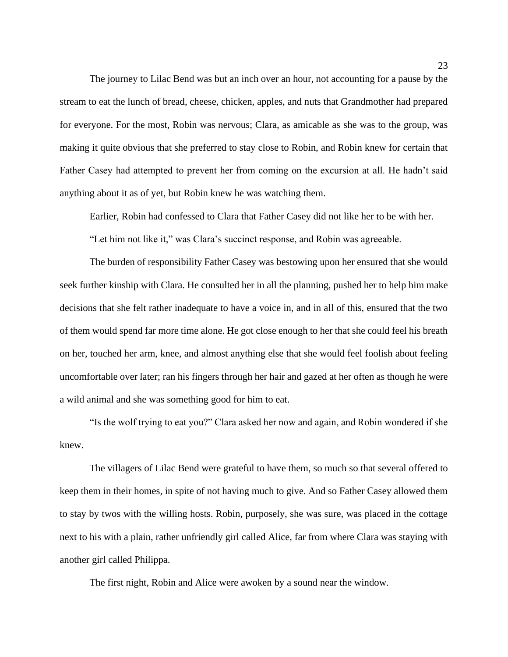The journey to Lilac Bend was but an inch over an hour, not accounting for a pause by the stream to eat the lunch of bread, cheese, chicken, apples, and nuts that Grandmother had prepared for everyone. For the most, Robin was nervous; Clara, as amicable as she was to the group, was making it quite obvious that she preferred to stay close to Robin, and Robin knew for certain that Father Casey had attempted to prevent her from coming on the excursion at all. He hadn't said anything about it as of yet, but Robin knew he was watching them.

Earlier, Robin had confessed to Clara that Father Casey did not like her to be with her.

"Let him not like it," was Clara's succinct response, and Robin was agreeable.

The burden of responsibility Father Casey was bestowing upon her ensured that she would seek further kinship with Clara. He consulted her in all the planning, pushed her to help him make decisions that she felt rather inadequate to have a voice in, and in all of this, ensured that the two of them would spend far more time alone. He got close enough to her that she could feel his breath on her, touched her arm, knee, and almost anything else that she would feel foolish about feeling uncomfortable over later; ran his fingers through her hair and gazed at her often as though he were a wild animal and she was something good for him to eat.

"Is the wolf trying to eat you?" Clara asked her now and again, and Robin wondered if she knew.

The villagers of Lilac Bend were grateful to have them, so much so that several offered to keep them in their homes, in spite of not having much to give. And so Father Casey allowed them to stay by twos with the willing hosts. Robin, purposely, she was sure, was placed in the cottage next to his with a plain, rather unfriendly girl called Alice, far from where Clara was staying with another girl called Philippa.

The first night, Robin and Alice were awoken by a sound near the window.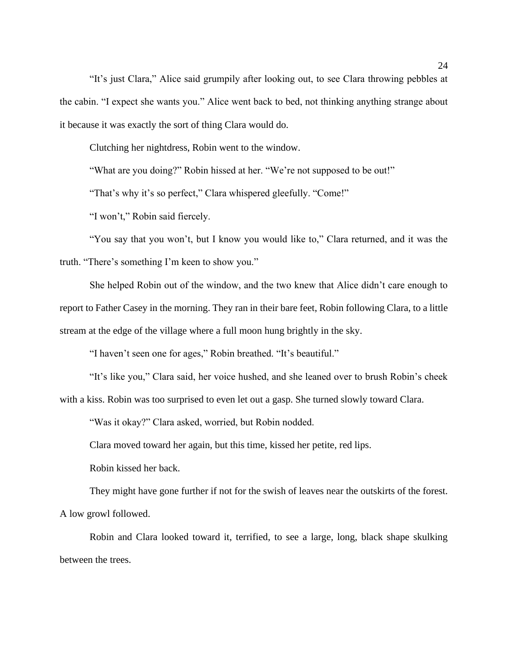"It's just Clara," Alice said grumpily after looking out, to see Clara throwing pebbles at the cabin. "I expect she wants you." Alice went back to bed, not thinking anything strange about it because it was exactly the sort of thing Clara would do.

Clutching her nightdress, Robin went to the window.

"What are you doing?" Robin hissed at her. "We're not supposed to be out!"

"That's why it's so perfect," Clara whispered gleefully. "Come!"

"I won't," Robin said fiercely.

"You say that you won't, but I know you would like to," Clara returned, and it was the truth. "There's something I'm keen to show you."

She helped Robin out of the window, and the two knew that Alice didn't care enough to report to Father Casey in the morning. They ran in their bare feet, Robin following Clara, to a little stream at the edge of the village where a full moon hung brightly in the sky.

"I haven't seen one for ages," Robin breathed. "It's beautiful."

"It's like you," Clara said, her voice hushed, and she leaned over to brush Robin's cheek with a kiss. Robin was too surprised to even let out a gasp. She turned slowly toward Clara.

"Was it okay?" Clara asked, worried, but Robin nodded.

Clara moved toward her again, but this time, kissed her petite, red lips.

Robin kissed her back.

They might have gone further if not for the swish of leaves near the outskirts of the forest. A low growl followed.

Robin and Clara looked toward it, terrified, to see a large, long, black shape skulking between the trees.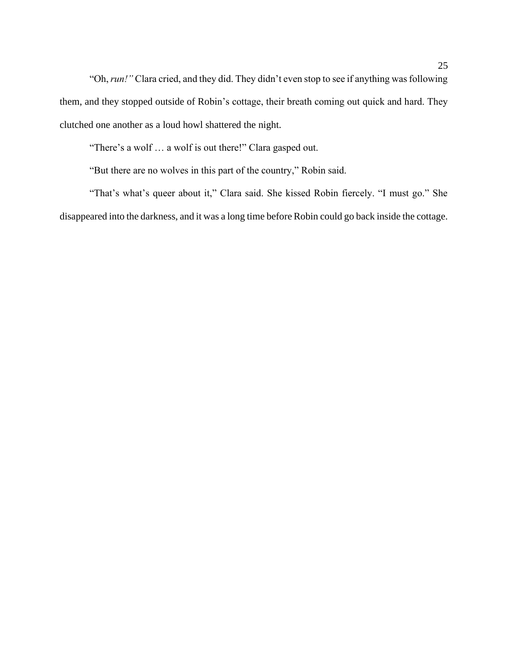"Oh, *run!"* Clara cried, and they did. They didn't even stop to see if anything was following them, and they stopped outside of Robin's cottage, their breath coming out quick and hard. They clutched one another as a loud howl shattered the night.

"There's a wolf … a wolf is out there!" Clara gasped out.

"But there are no wolves in this part of the country," Robin said.

"That's what's queer about it," Clara said. She kissed Robin fiercely. "I must go." She disappeared into the darkness, and it was a long time before Robin could go back inside the cottage.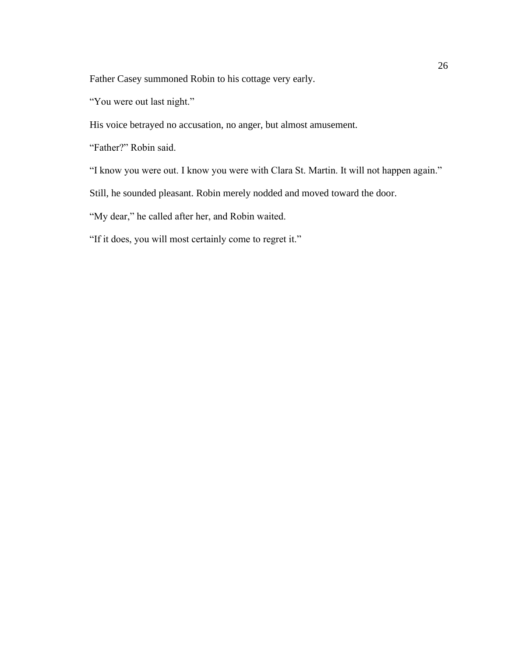Father Casey summoned Robin to his cottage very early.

"You were out last night."

His voice betrayed no accusation, no anger, but almost amusement.

"Father?" Robin said.

"I know you were out. I know you were with Clara St. Martin. It will not happen again."

Still, he sounded pleasant. Robin merely nodded and moved toward the door.

"My dear," he called after her, and Robin waited.

"If it does, you will most certainly come to regret it."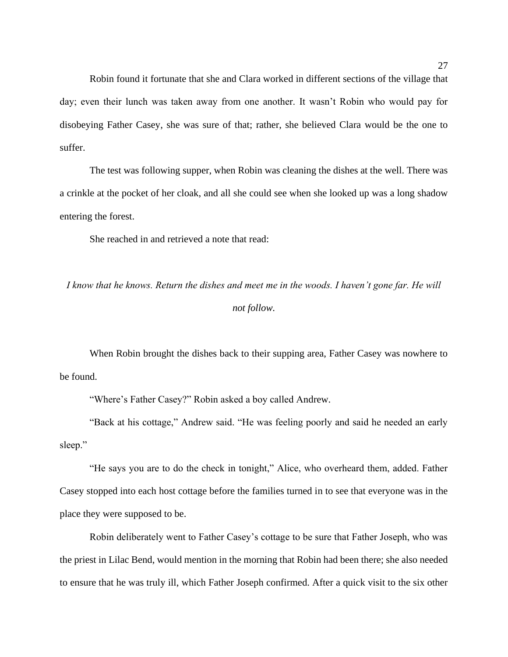Robin found it fortunate that she and Clara worked in different sections of the village that day; even their lunch was taken away from one another. It wasn't Robin who would pay for disobeying Father Casey, she was sure of that; rather, she believed Clara would be the one to suffer.

The test was following supper, when Robin was cleaning the dishes at the well. There was a crinkle at the pocket of her cloak, and all she could see when she looked up was a long shadow entering the forest.

She reached in and retrieved a note that read:

*I know that he knows. Return the dishes and meet me in the woods. I haven't gone far. He will not follow.*

When Robin brought the dishes back to their supping area, Father Casey was nowhere to be found.

"Where's Father Casey?" Robin asked a boy called Andrew.

"Back at his cottage," Andrew said. "He was feeling poorly and said he needed an early sleep."

"He says you are to do the check in tonight," Alice, who overheard them, added. Father Casey stopped into each host cottage before the families turned in to see that everyone was in the place they were supposed to be.

Robin deliberately went to Father Casey's cottage to be sure that Father Joseph, who was the priest in Lilac Bend, would mention in the morning that Robin had been there; she also needed to ensure that he was truly ill, which Father Joseph confirmed. After a quick visit to the six other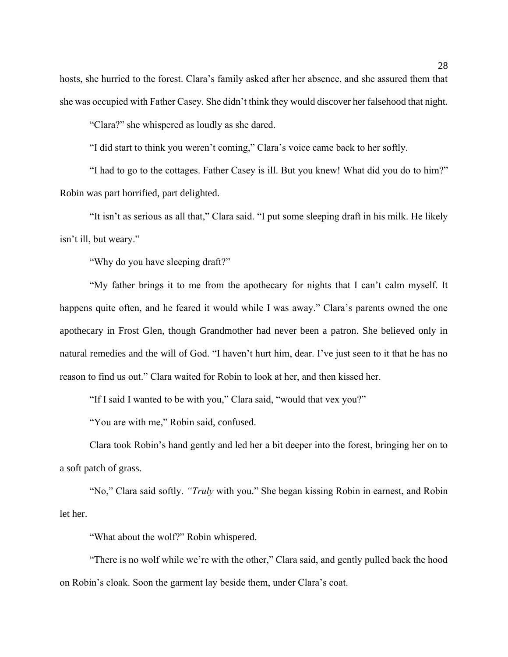hosts, she hurried to the forest. Clara's family asked after her absence, and she assured them that she was occupied with Father Casey. She didn't think they would discover her falsehood that night.

"Clara?" she whispered as loudly as she dared.

"I did start to think you weren't coming," Clara's voice came back to her softly.

"I had to go to the cottages. Father Casey is ill. But you knew! What did you do to him?" Robin was part horrified, part delighted.

"It isn't as serious as all that," Clara said. "I put some sleeping draft in his milk. He likely isn't ill, but weary."

"Why do you have sleeping draft?"

"My father brings it to me from the apothecary for nights that I can't calm myself. It happens quite often, and he feared it would while I was away." Clara's parents owned the one apothecary in Frost Glen, though Grandmother had never been a patron. She believed only in natural remedies and the will of God. "I haven't hurt him, dear. I've just seen to it that he has no reason to find us out." Clara waited for Robin to look at her, and then kissed her.

"If I said I wanted to be with you," Clara said, "would that vex you?"

"You are with me," Robin said, confused.

Clara took Robin's hand gently and led her a bit deeper into the forest, bringing her on to a soft patch of grass.

"No," Clara said softly. *"Truly* with you." She began kissing Robin in earnest, and Robin let her.

"What about the wolf?" Robin whispered.

"There is no wolf while we're with the other," Clara said, and gently pulled back the hood on Robin's cloak. Soon the garment lay beside them, under Clara's coat.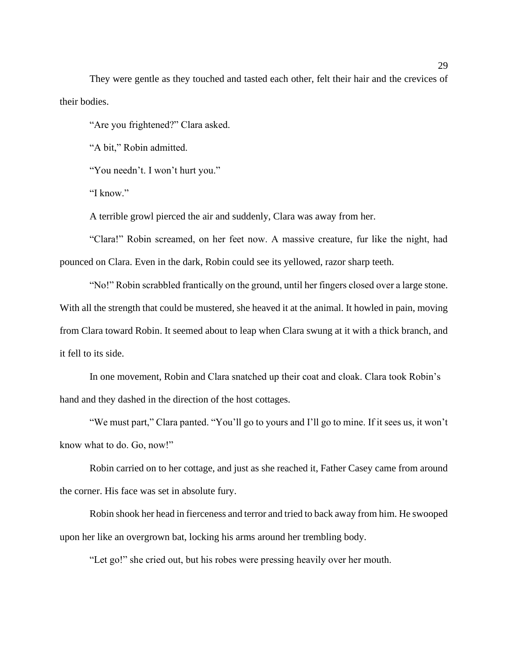They were gentle as they touched and tasted each other, felt their hair and the crevices of their bodies.

"Are you frightened?" Clara asked.

"A bit," Robin admitted.

"You needn't. I won't hurt you."

"I know."

A terrible growl pierced the air and suddenly, Clara was away from her.

"Clara!" Robin screamed, on her feet now. A massive creature, fur like the night, had pounced on Clara. Even in the dark, Robin could see its yellowed, razor sharp teeth.

"No!" Robin scrabbled frantically on the ground, until her fingers closed over a large stone. With all the strength that could be mustered, she heaved it at the animal. It howled in pain, moving from Clara toward Robin. It seemed about to leap when Clara swung at it with a thick branch, and it fell to its side.

In one movement, Robin and Clara snatched up their coat and cloak. Clara took Robin's hand and they dashed in the direction of the host cottages.

"We must part," Clara panted. "You'll go to yours and I'll go to mine. If it sees us, it won't know what to do. Go, now!"

Robin carried on to her cottage, and just as she reached it, Father Casey came from around the corner. His face was set in absolute fury.

Robin shook her head in fierceness and terror and tried to back away from him. He swooped upon her like an overgrown bat, locking his arms around her trembling body.

"Let go!" she cried out, but his robes were pressing heavily over her mouth.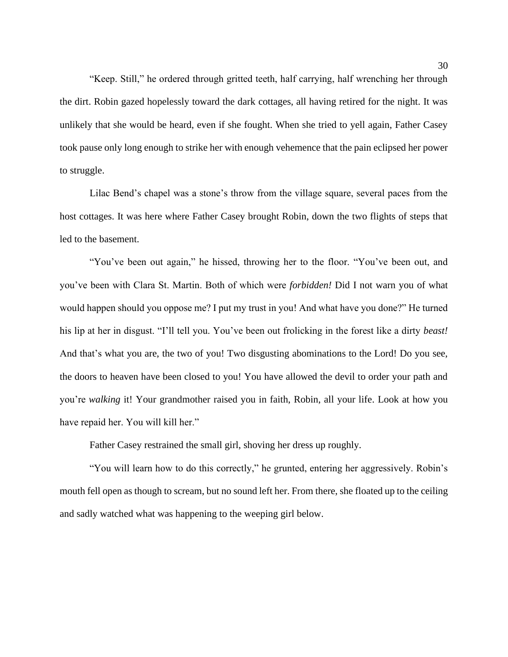"Keep. Still," he ordered through gritted teeth, half carrying, half wrenching her through the dirt. Robin gazed hopelessly toward the dark cottages, all having retired for the night. It was unlikely that she would be heard, even if she fought. When she tried to yell again, Father Casey took pause only long enough to strike her with enough vehemence that the pain eclipsed her power to struggle.

Lilac Bend's chapel was a stone's throw from the village square, several paces from the host cottages. It was here where Father Casey brought Robin, down the two flights of steps that led to the basement.

"You've been out again," he hissed, throwing her to the floor. "You've been out, and you've been with Clara St. Martin. Both of which were *forbidden!* Did I not warn you of what would happen should you oppose me? I put my trust in you! And what have you done?" He turned his lip at her in disgust. "I'll tell you. You've been out frolicking in the forest like a dirty *beast!* And that's what you are, the two of you! Two disgusting abominations to the Lord! Do you see, the doors to heaven have been closed to you! You have allowed the devil to order your path and you're *walking* it! Your grandmother raised you in faith, Robin, all your life. Look at how you have repaid her. You will kill her."

Father Casey restrained the small girl, shoving her dress up roughly.

"You will learn how to do this correctly," he grunted, entering her aggressively. Robin's mouth fell open as though to scream, but no sound left her. From there, she floated up to the ceiling and sadly watched what was happening to the weeping girl below.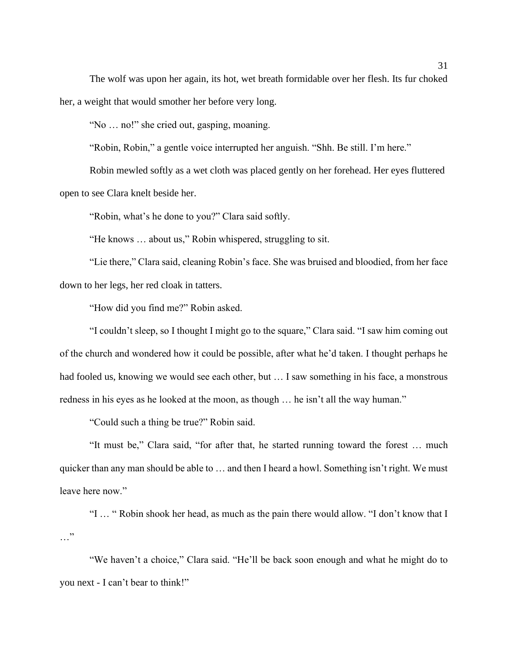The wolf was upon her again, its hot, wet breath formidable over her flesh. Its fur choked her, a weight that would smother her before very long.

"No … no!" she cried out, gasping, moaning.

"Robin, Robin," a gentle voice interrupted her anguish. "Shh. Be still. I'm here."

Robin mewled softly as a wet cloth was placed gently on her forehead. Her eyes fluttered open to see Clara knelt beside her.

"Robin, what's he done to you?" Clara said softly.

"He knows … about us," Robin whispered, struggling to sit.

"Lie there," Clara said, cleaning Robin's face. She was bruised and bloodied, from her face down to her legs, her red cloak in tatters.

"How did you find me?" Robin asked.

"I couldn't sleep, so I thought I might go to the square," Clara said. "I saw him coming out of the church and wondered how it could be possible, after what he'd taken. I thought perhaps he had fooled us, knowing we would see each other, but … I saw something in his face, a monstrous redness in his eyes as he looked at the moon, as though … he isn't all the way human."

"Could such a thing be true?" Robin said.

"It must be," Clara said, "for after that, he started running toward the forest … much quicker than any man should be able to … and then I heard a howl. Something isn't right. We must leave here now."

"I … " Robin shook her head, as much as the pain there would allow. "I don't know that I …"

"We haven't a choice," Clara said. "He'll be back soon enough and what he might do to you next - I can't bear to think!"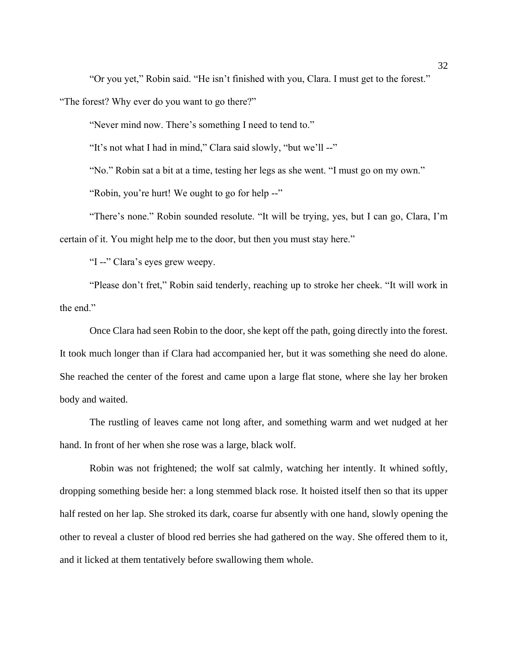"Or you yet," Robin said. "He isn't finished with you, Clara. I must get to the forest."

"The forest? Why ever do you want to go there?"

"Never mind now. There's something I need to tend to."

"It's not what I had in mind," Clara said slowly, "but we'll --"

"No." Robin sat a bit at a time, testing her legs as she went. "I must go on my own."

"Robin, you're hurt! We ought to go for help --"

"There's none." Robin sounded resolute. "It will be trying, yes, but I can go, Clara, I'm certain of it. You might help me to the door, but then you must stay here."

"I --" Clara's eyes grew weepy.

"Please don't fret," Robin said tenderly, reaching up to stroke her cheek. "It will work in the end."

Once Clara had seen Robin to the door, she kept off the path, going directly into the forest. It took much longer than if Clara had accompanied her, but it was something she need do alone. She reached the center of the forest and came upon a large flat stone, where she lay her broken body and waited.

The rustling of leaves came not long after, and something warm and wet nudged at her hand. In front of her when she rose was a large, black wolf.

Robin was not frightened; the wolf sat calmly, watching her intently. It whined softly, dropping something beside her: a long stemmed black rose. It hoisted itself then so that its upper half rested on her lap. She stroked its dark, coarse fur absently with one hand, slowly opening the other to reveal a cluster of blood red berries she had gathered on the way. She offered them to it, and it licked at them tentatively before swallowing them whole.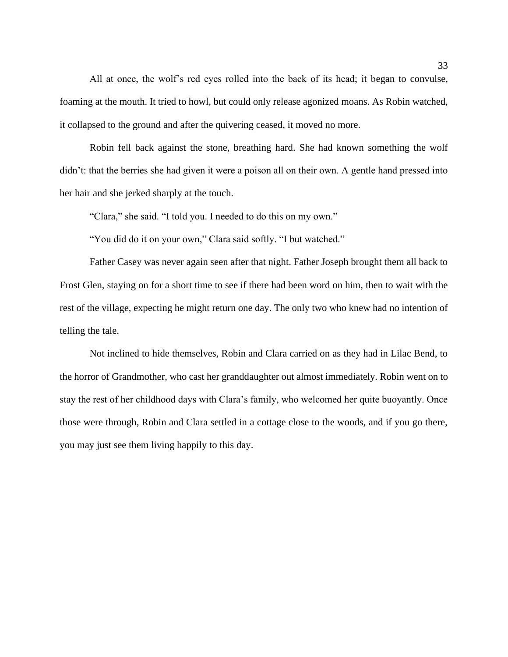All at once, the wolf's red eyes rolled into the back of its head; it began to convulse, foaming at the mouth. It tried to howl, but could only release agonized moans. As Robin watched, it collapsed to the ground and after the quivering ceased, it moved no more.

Robin fell back against the stone, breathing hard. She had known something the wolf didn't: that the berries she had given it were a poison all on their own. A gentle hand pressed into her hair and she jerked sharply at the touch.

"Clara," she said. "I told you. I needed to do this on my own."

"You did do it on your own," Clara said softly. "I but watched."

Father Casey was never again seen after that night. Father Joseph brought them all back to Frost Glen, staying on for a short time to see if there had been word on him, then to wait with the rest of the village, expecting he might return one day. The only two who knew had no intention of telling the tale.

Not inclined to hide themselves, Robin and Clara carried on as they had in Lilac Bend, to the horror of Grandmother, who cast her granddaughter out almost immediately. Robin went on to stay the rest of her childhood days with Clara's family, who welcomed her quite buoyantly. Once those were through, Robin and Clara settled in a cottage close to the woods, and if you go there, you may just see them living happily to this day.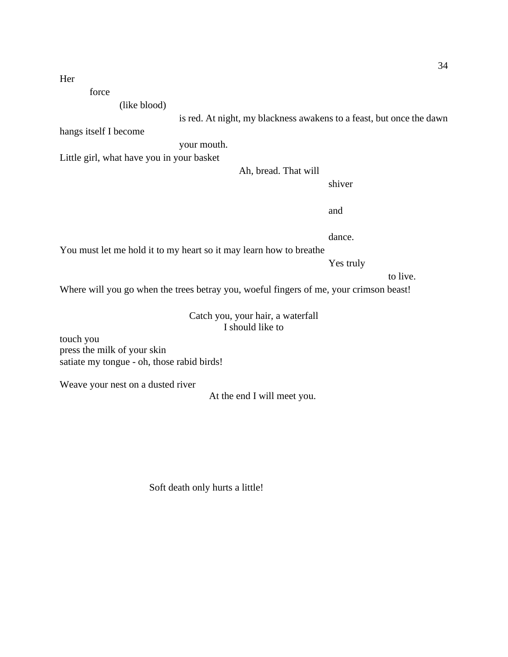Her

force

(like blood)

is red. At night, my blackness awakens to a feast, but once the dawn

hangs itself I become

your mouth.

Little girl, what have you in your basket

Ah, bread. That will

shiver

and

dance.

You must let me hold it to my heart so it may learn how to breathe

Yes truly

to live.

Where will you go when the trees betray you, woeful fingers of me, your crimson beast!

### Catch you, your hair, a waterfall I should like to

touch you press the milk of your skin satiate my tongue - oh, those rabid birds!

Weave your nest on a dusted river

At the end I will meet you.

Soft death only hurts a little!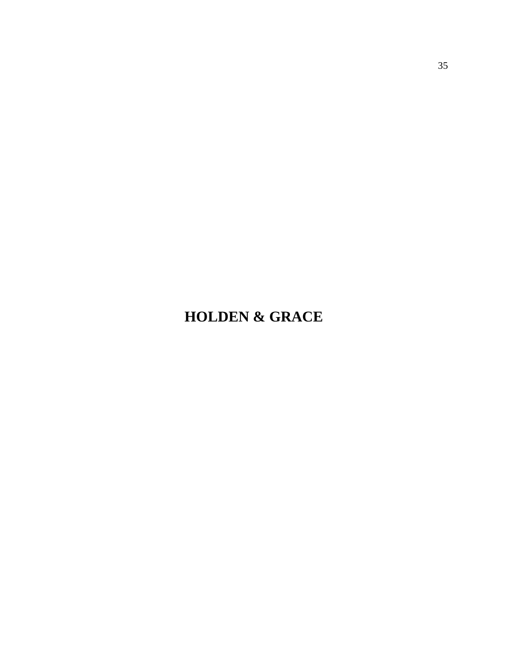# **HOLDEN & GRACE**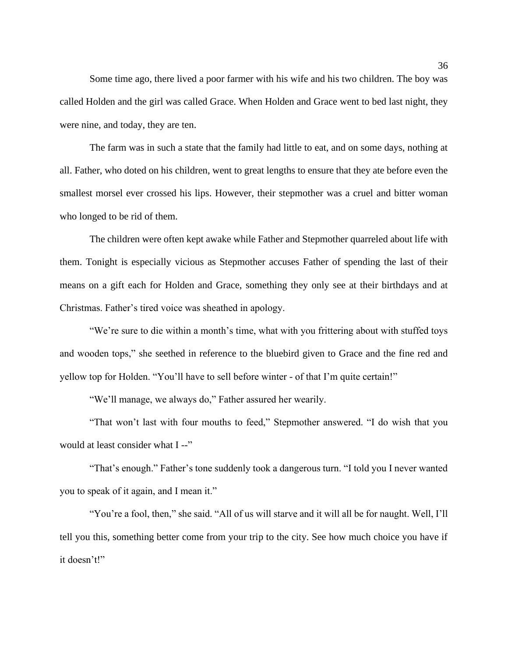Some time ago, there lived a poor farmer with his wife and his two children. The boy was called Holden and the girl was called Grace. When Holden and Grace went to bed last night, they were nine, and today, they are ten.

The farm was in such a state that the family had little to eat, and on some days, nothing at all. Father, who doted on his children, went to great lengths to ensure that they ate before even the smallest morsel ever crossed his lips. However, their stepmother was a cruel and bitter woman who longed to be rid of them.

The children were often kept awake while Father and Stepmother quarreled about life with them. Tonight is especially vicious as Stepmother accuses Father of spending the last of their means on a gift each for Holden and Grace, something they only see at their birthdays and at Christmas. Father's tired voice was sheathed in apology.

"We're sure to die within a month's time, what with you frittering about with stuffed toys and wooden tops," she seethed in reference to the bluebird given to Grace and the fine red and yellow top for Holden. "You'll have to sell before winter - of that I'm quite certain!"

"We'll manage, we always do," Father assured her wearily.

"That won't last with four mouths to feed," Stepmother answered. "I do wish that you would at least consider what I --"

"That's enough." Father's tone suddenly took a dangerous turn. "I told you I never wanted you to speak of it again, and I mean it."

"You're a fool, then," she said. "All of us will starve and it will all be for naught. Well, I'll tell you this, something better come from your trip to the city. See how much choice you have if it doesn't!"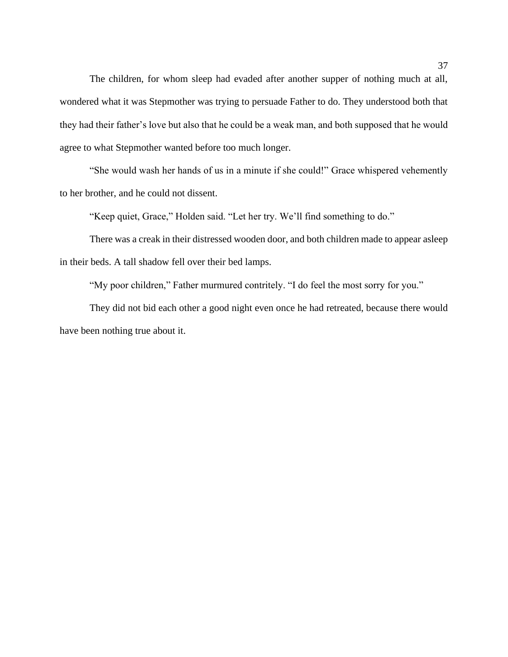The children, for whom sleep had evaded after another supper of nothing much at all, wondered what it was Stepmother was trying to persuade Father to do. They understood both that they had their father's love but also that he could be a weak man, and both supposed that he would agree to what Stepmother wanted before too much longer.

"She would wash her hands of us in a minute if she could!" Grace whispered vehemently to her brother, and he could not dissent.

"Keep quiet, Grace," Holden said. "Let her try. We'll find something to do."

There was a creak in their distressed wooden door, and both children made to appear asleep in their beds. A tall shadow fell over their bed lamps.

"My poor children," Father murmured contritely. "I do feel the most sorry for you."

They did not bid each other a good night even once he had retreated, because there would have been nothing true about it.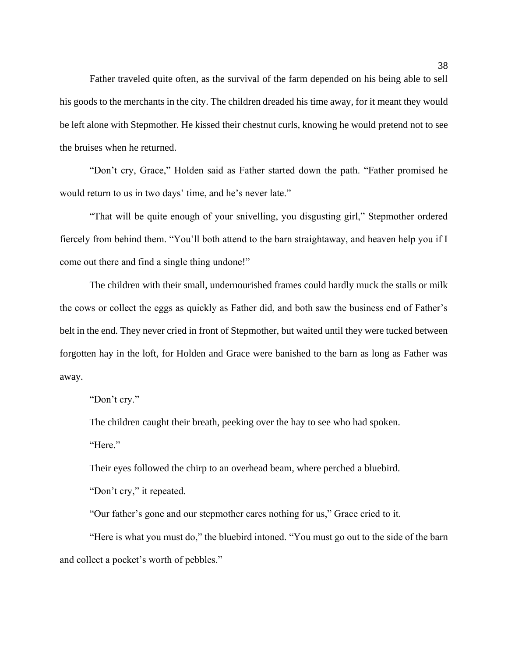Father traveled quite often, as the survival of the farm depended on his being able to sell his goods to the merchants in the city. The children dreaded his time away, for it meant they would be left alone with Stepmother. He kissed their chestnut curls, knowing he would pretend not to see the bruises when he returned.

"Don't cry, Grace," Holden said as Father started down the path. "Father promised he would return to us in two days' time, and he's never late."

"That will be quite enough of your snivelling, you disgusting girl," Stepmother ordered fiercely from behind them. "You'll both attend to the barn straightaway, and heaven help you if I come out there and find a single thing undone!"

The children with their small, undernourished frames could hardly muck the stalls or milk the cows or collect the eggs as quickly as Father did, and both saw the business end of Father's belt in the end. They never cried in front of Stepmother, but waited until they were tucked between forgotten hay in the loft, for Holden and Grace were banished to the barn as long as Father was away.

"Don't cry."

The children caught their breath, peeking over the hay to see who had spoken.

"Here."

Their eyes followed the chirp to an overhead beam, where perched a bluebird.

"Don't cry," it repeated.

"Our father's gone and our stepmother cares nothing for us," Grace cried to it.

"Here is what you must do," the bluebird intoned. "You must go out to the side of the barn and collect a pocket's worth of pebbles."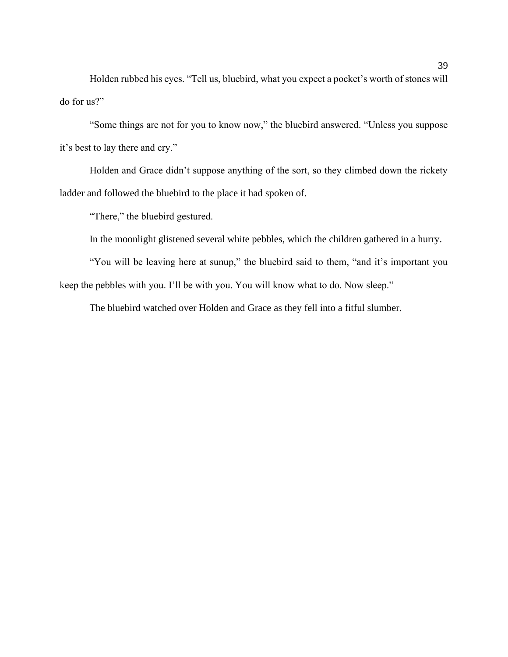Holden rubbed his eyes. "Tell us, bluebird, what you expect a pocket's worth of stones will do for us?"

"Some things are not for you to know now," the bluebird answered. "Unless you suppose it's best to lay there and cry."

Holden and Grace didn't suppose anything of the sort, so they climbed down the rickety ladder and followed the bluebird to the place it had spoken of.

"There," the bluebird gestured.

In the moonlight glistened several white pebbles, which the children gathered in a hurry.

"You will be leaving here at sunup," the bluebird said to them, "and it's important you keep the pebbles with you. I'll be with you. You will know what to do. Now sleep."

The bluebird watched over Holden and Grace as they fell into a fitful slumber.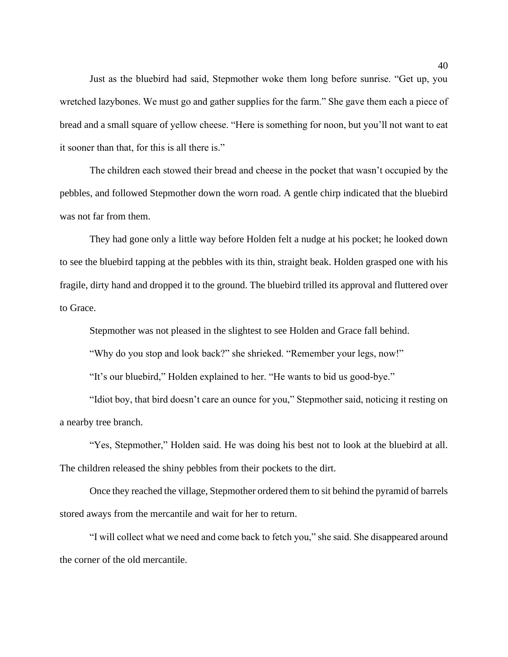Just as the bluebird had said, Stepmother woke them long before sunrise. "Get up, you wretched lazybones. We must go and gather supplies for the farm." She gave them each a piece of bread and a small square of yellow cheese. "Here is something for noon, but you'll not want to eat it sooner than that, for this is all there is."

The children each stowed their bread and cheese in the pocket that wasn't occupied by the pebbles, and followed Stepmother down the worn road. A gentle chirp indicated that the bluebird was not far from them.

They had gone only a little way before Holden felt a nudge at his pocket; he looked down to see the bluebird tapping at the pebbles with its thin, straight beak. Holden grasped one with his fragile, dirty hand and dropped it to the ground. The bluebird trilled its approval and fluttered over to Grace.

Stepmother was not pleased in the slightest to see Holden and Grace fall behind.

"Why do you stop and look back?" she shrieked. "Remember your legs, now!"

"It's our bluebird," Holden explained to her. "He wants to bid us good-bye."

"Idiot boy, that bird doesn't care an ounce for you," Stepmother said, noticing it resting on a nearby tree branch.

"Yes, Stepmother," Holden said. He was doing his best not to look at the bluebird at all. The children released the shiny pebbles from their pockets to the dirt.

Once they reached the village, Stepmother ordered them to sit behind the pyramid of barrels stored aways from the mercantile and wait for her to return.

"I will collect what we need and come back to fetch you," she said. She disappeared around the corner of the old mercantile.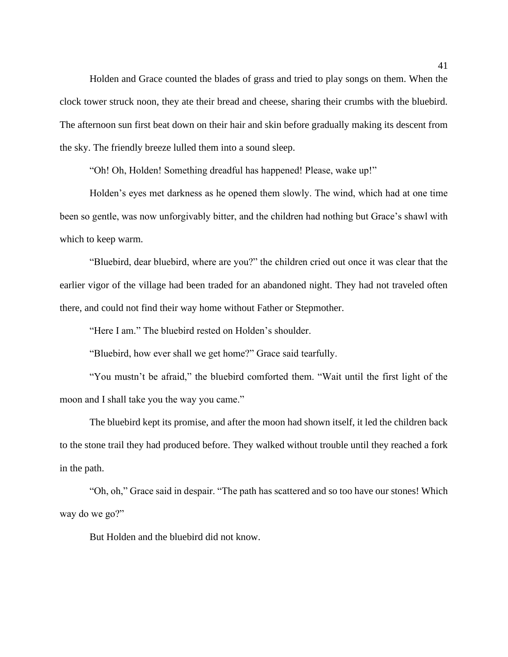Holden and Grace counted the blades of grass and tried to play songs on them. When the clock tower struck noon, they ate their bread and cheese, sharing their crumbs with the bluebird. The afternoon sun first beat down on their hair and skin before gradually making its descent from the sky. The friendly breeze lulled them into a sound sleep.

"Oh! Oh, Holden! Something dreadful has happened! Please, wake up!"

Holden's eyes met darkness as he opened them slowly. The wind, which had at one time been so gentle, was now unforgivably bitter, and the children had nothing but Grace's shawl with which to keep warm.

"Bluebird, dear bluebird, where are you?" the children cried out once it was clear that the earlier vigor of the village had been traded for an abandoned night. They had not traveled often there, and could not find their way home without Father or Stepmother.

"Here I am." The bluebird rested on Holden's shoulder.

"Bluebird, how ever shall we get home?" Grace said tearfully.

"You mustn't be afraid," the bluebird comforted them. "Wait until the first light of the moon and I shall take you the way you came."

The bluebird kept its promise, and after the moon had shown itself, it led the children back to the stone trail they had produced before. They walked without trouble until they reached a fork in the path.

"Oh, oh," Grace said in despair. "The path has scattered and so too have our stones! Which way do we go?"

But Holden and the bluebird did not know.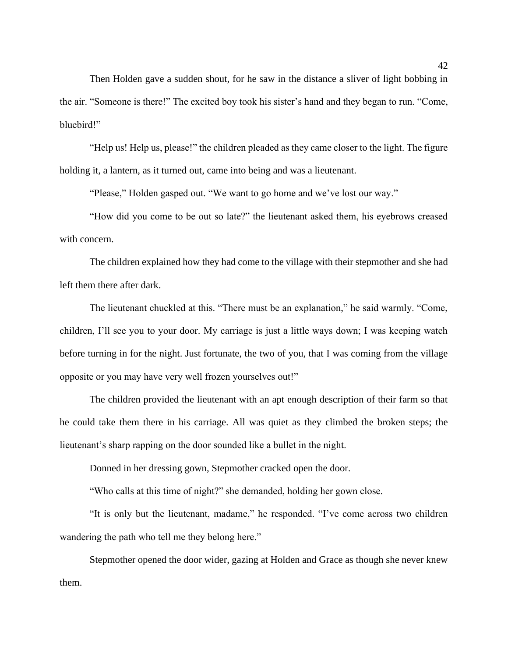Then Holden gave a sudden shout, for he saw in the distance a sliver of light bobbing in the air. "Someone is there!" The excited boy took his sister's hand and they began to run. "Come, bluebird!"

"Help us! Help us, please!" the children pleaded as they came closer to the light. The figure holding it, a lantern, as it turned out, came into being and was a lieutenant.

"Please," Holden gasped out. "We want to go home and we've lost our way."

"How did you come to be out so late?" the lieutenant asked them, his eyebrows creased with concern.

The children explained how they had come to the village with their stepmother and she had left them there after dark.

The lieutenant chuckled at this. "There must be an explanation," he said warmly. "Come, children, I'll see you to your door. My carriage is just a little ways down; I was keeping watch before turning in for the night. Just fortunate, the two of you, that I was coming from the village opposite or you may have very well frozen yourselves out!"

The children provided the lieutenant with an apt enough description of their farm so that he could take them there in his carriage. All was quiet as they climbed the broken steps; the lieutenant's sharp rapping on the door sounded like a bullet in the night.

Donned in her dressing gown, Stepmother cracked open the door.

"Who calls at this time of night?" she demanded, holding her gown close.

"It is only but the lieutenant, madame," he responded. "I've come across two children wandering the path who tell me they belong here."

Stepmother opened the door wider, gazing at Holden and Grace as though she never knew them.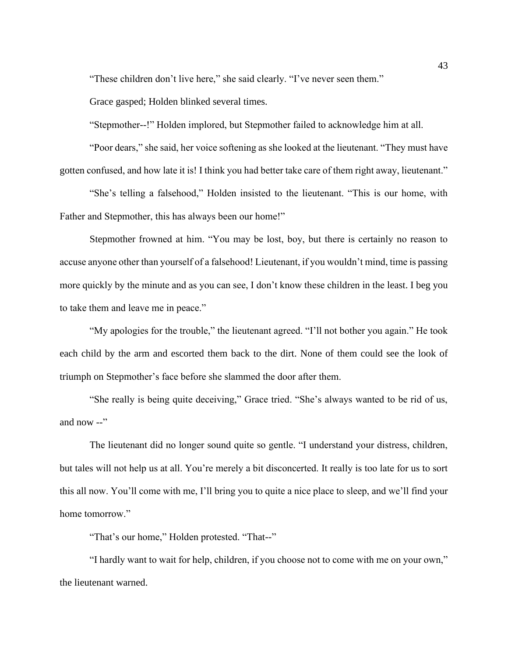"These children don't live here," she said clearly. "I've never seen them."

Grace gasped; Holden blinked several times.

"Stepmother--!" Holden implored, but Stepmother failed to acknowledge him at all.

"Poor dears," she said, her voice softening as she looked at the lieutenant. "They must have gotten confused, and how late it is! I think you had better take care of them right away, lieutenant."

"She's telling a falsehood," Holden insisted to the lieutenant. "This is our home, with Father and Stepmother, this has always been our home!"

Stepmother frowned at him. "You may be lost, boy, but there is certainly no reason to accuse anyone other than yourself of a falsehood! Lieutenant, if you wouldn't mind, time is passing more quickly by the minute and as you can see, I don't know these children in the least. I beg you to take them and leave me in peace."

"My apologies for the trouble," the lieutenant agreed. "I'll not bother you again." He took each child by the arm and escorted them back to the dirt. None of them could see the look of triumph on Stepmother's face before she slammed the door after them.

"She really is being quite deceiving," Grace tried. "She's always wanted to be rid of us, and now --"

The lieutenant did no longer sound quite so gentle. "I understand your distress, children, but tales will not help us at all. You're merely a bit disconcerted. It really is too late for us to sort this all now. You'll come with me, I'll bring you to quite a nice place to sleep, and we'll find your home tomorrow."

"That's our home," Holden protested. "That--"

"I hardly want to wait for help, children, if you choose not to come with me on your own," the lieutenant warned.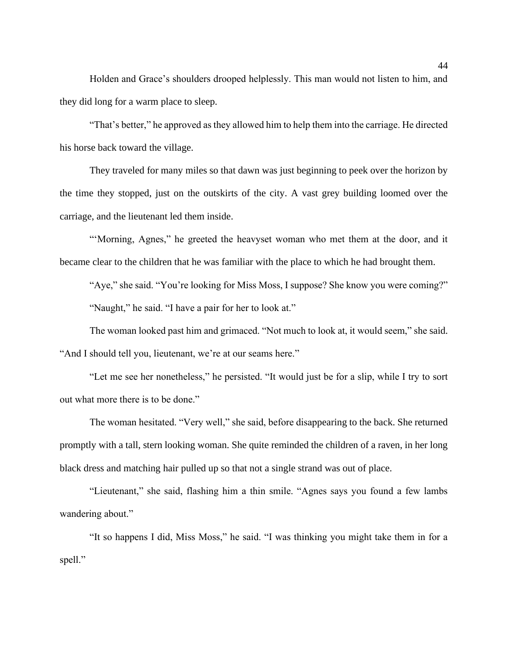Holden and Grace's shoulders drooped helplessly. This man would not listen to him, and they did long for a warm place to sleep.

"That's better," he approved as they allowed him to help them into the carriage. He directed his horse back toward the village.

They traveled for many miles so that dawn was just beginning to peek over the horizon by the time they stopped, just on the outskirts of the city. A vast grey building loomed over the carriage, and the lieutenant led them inside.

"'Morning, Agnes," he greeted the heavyset woman who met them at the door, and it became clear to the children that he was familiar with the place to which he had brought them.

"Aye," she said. "You're looking for Miss Moss, I suppose? She know you were coming?" "Naught," he said. "I have a pair for her to look at."

The woman looked past him and grimaced. "Not much to look at, it would seem," she said. "And I should tell you, lieutenant, we're at our seams here."

"Let me see her nonetheless," he persisted. "It would just be for a slip, while I try to sort out what more there is to be done."

The woman hesitated. "Very well," she said, before disappearing to the back. She returned promptly with a tall, stern looking woman. She quite reminded the children of a raven, in her long black dress and matching hair pulled up so that not a single strand was out of place.

"Lieutenant," she said, flashing him a thin smile. "Agnes says you found a few lambs wandering about."

"It so happens I did, Miss Moss," he said. "I was thinking you might take them in for a spell."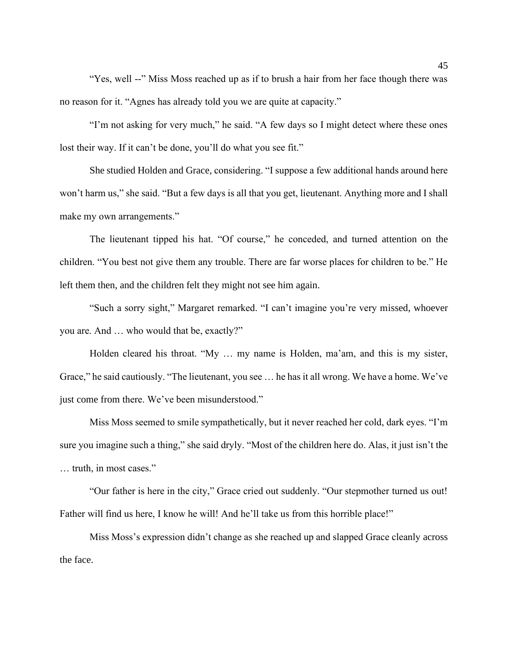"Yes, well --" Miss Moss reached up as if to brush a hair from her face though there was no reason for it. "Agnes has already told you we are quite at capacity."

"I'm not asking for very much," he said. "A few days so I might detect where these ones lost their way. If it can't be done, you'll do what you see fit."

She studied Holden and Grace, considering. "I suppose a few additional hands around here won't harm us," she said. "But a few days is all that you get, lieutenant. Anything more and I shall make my own arrangements."

The lieutenant tipped his hat. "Of course," he conceded, and turned attention on the children. "You best not give them any trouble. There are far worse places for children to be." He left them then, and the children felt they might not see him again.

"Such a sorry sight," Margaret remarked. "I can't imagine you're very missed, whoever you are. And … who would that be, exactly?"

Holden cleared his throat. "My … my name is Holden, ma'am, and this is my sister, Grace," he said cautiously. "The lieutenant, you see … he has it all wrong. We have a home. We've just come from there. We've been misunderstood."

Miss Moss seemed to smile sympathetically, but it never reached her cold, dark eyes. "I'm sure you imagine such a thing," she said dryly. "Most of the children here do. Alas, it just isn't the … truth, in most cases."

"Our father is here in the city," Grace cried out suddenly. "Our stepmother turned us out! Father will find us here, I know he will! And he'll take us from this horrible place!"

Miss Moss's expression didn't change as she reached up and slapped Grace cleanly across the face.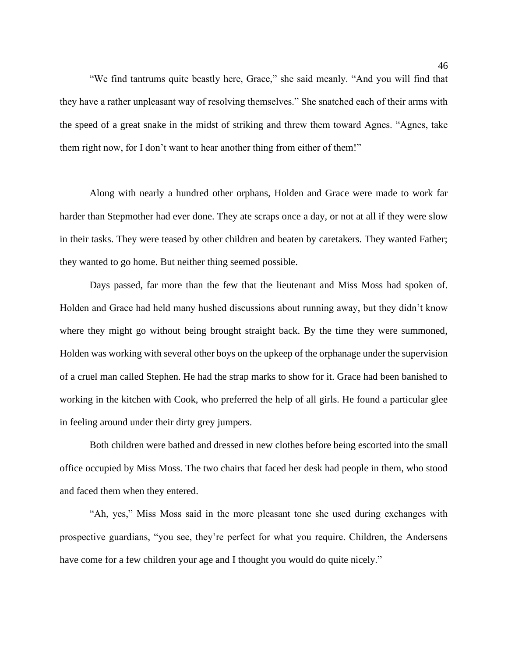"We find tantrums quite beastly here, Grace," she said meanly. "And you will find that they have a rather unpleasant way of resolving themselves." She snatched each of their arms with the speed of a great snake in the midst of striking and threw them toward Agnes. "Agnes, take them right now, for I don't want to hear another thing from either of them!"

Along with nearly a hundred other orphans, Holden and Grace were made to work far harder than Stepmother had ever done. They ate scraps once a day, or not at all if they were slow in their tasks. They were teased by other children and beaten by caretakers. They wanted Father; they wanted to go home. But neither thing seemed possible.

Days passed, far more than the few that the lieutenant and Miss Moss had spoken of. Holden and Grace had held many hushed discussions about running away, but they didn't know where they might go without being brought straight back. By the time they were summoned, Holden was working with several other boys on the upkeep of the orphanage under the supervision of a cruel man called Stephen. He had the strap marks to show for it. Grace had been banished to working in the kitchen with Cook, who preferred the help of all girls. He found a particular glee in feeling around under their dirty grey jumpers.

Both children were bathed and dressed in new clothes before being escorted into the small office occupied by Miss Moss. The two chairs that faced her desk had people in them, who stood and faced them when they entered.

"Ah, yes," Miss Moss said in the more pleasant tone she used during exchanges with prospective guardians, "you see, they're perfect for what you require. Children, the Andersens have come for a few children your age and I thought you would do quite nicely."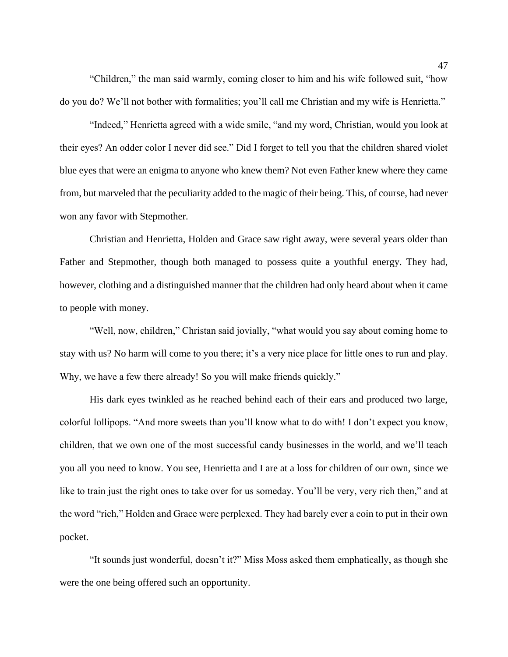"Children," the man said warmly, coming closer to him and his wife followed suit, "how do you do? We'll not bother with formalities; you'll call me Christian and my wife is Henrietta."

"Indeed," Henrietta agreed with a wide smile, "and my word, Christian, would you look at their eyes? An odder color I never did see." Did I forget to tell you that the children shared violet blue eyes that were an enigma to anyone who knew them? Not even Father knew where they came from, but marveled that the peculiarity added to the magic of their being. This, of course, had never won any favor with Stepmother.

Christian and Henrietta, Holden and Grace saw right away, were several years older than Father and Stepmother, though both managed to possess quite a youthful energy. They had, however, clothing and a distinguished manner that the children had only heard about when it came to people with money.

"Well, now, children," Christan said jovially, "what would you say about coming home to stay with us? No harm will come to you there; it's a very nice place for little ones to run and play. Why, we have a few there already! So you will make friends quickly."

His dark eyes twinkled as he reached behind each of their ears and produced two large, colorful lollipops. "And more sweets than you'll know what to do with! I don't expect you know, children, that we own one of the most successful candy businesses in the world, and we'll teach you all you need to know. You see, Henrietta and I are at a loss for children of our own, since we like to train just the right ones to take over for us someday. You'll be very, very rich then," and at the word "rich," Holden and Grace were perplexed. They had barely ever a coin to put in their own pocket.

"It sounds just wonderful, doesn't it?" Miss Moss asked them emphatically, as though she were the one being offered such an opportunity.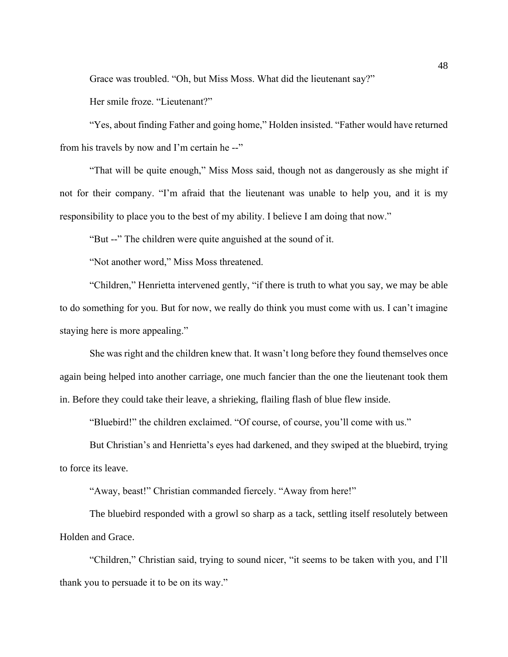Grace was troubled. "Oh, but Miss Moss. What did the lieutenant say?"

Her smile froze. "Lieutenant?"

"Yes, about finding Father and going home," Holden insisted. "Father would have returned from his travels by now and I'm certain he --"

"That will be quite enough," Miss Moss said, though not as dangerously as she might if not for their company. "I'm afraid that the lieutenant was unable to help you, and it is my responsibility to place you to the best of my ability. I believe I am doing that now."

"But --" The children were quite anguished at the sound of it.

"Not another word," Miss Moss threatened.

"Children," Henrietta intervened gently, "if there is truth to what you say, we may be able to do something for you. But for now, we really do think you must come with us. I can't imagine staying here is more appealing."

She was right and the children knew that. It wasn't long before they found themselves once again being helped into another carriage, one much fancier than the one the lieutenant took them in. Before they could take their leave, a shrieking, flailing flash of blue flew inside.

"Bluebird!" the children exclaimed. "Of course, of course, you'll come with us."

But Christian's and Henrietta's eyes had darkened, and they swiped at the bluebird, trying to force its leave.

"Away, beast!" Christian commanded fiercely. "Away from here!"

The bluebird responded with a growl so sharp as a tack, settling itself resolutely between Holden and Grace.

"Children," Christian said, trying to sound nicer, "it seems to be taken with you, and I'll thank you to persuade it to be on its way."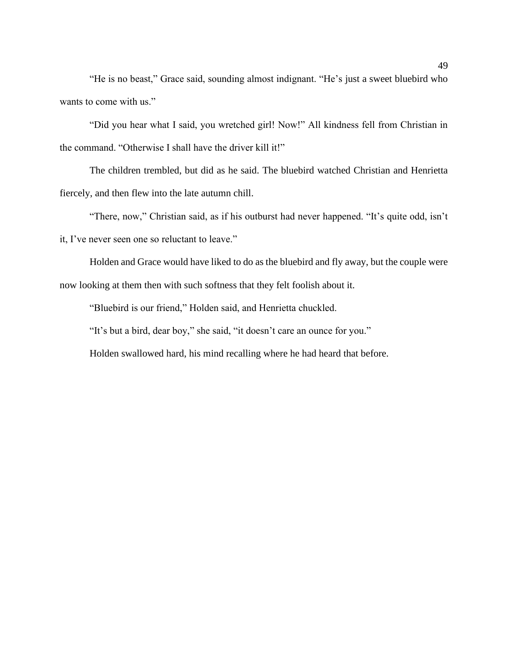"He is no beast," Grace said, sounding almost indignant. "He's just a sweet bluebird who wants to come with us."

"Did you hear what I said, you wretched girl! Now!" All kindness fell from Christian in the command. "Otherwise I shall have the driver kill it!"

The children trembled, but did as he said. The bluebird watched Christian and Henrietta fiercely, and then flew into the late autumn chill.

"There, now," Christian said, as if his outburst had never happened. "It's quite odd, isn't it, I've never seen one so reluctant to leave."

Holden and Grace would have liked to do as the bluebird and fly away, but the couple were now looking at them then with such softness that they felt foolish about it.

"Bluebird is our friend," Holden said, and Henrietta chuckled.

"It's but a bird, dear boy," she said, "it doesn't care an ounce for you."

Holden swallowed hard, his mind recalling where he had heard that before.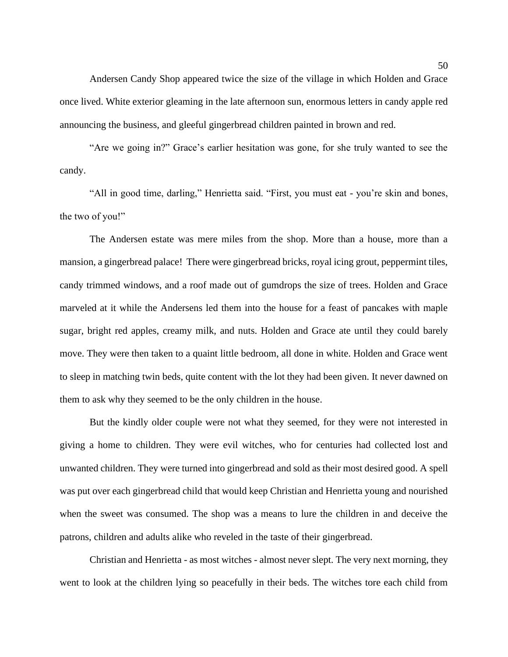Andersen Candy Shop appeared twice the size of the village in which Holden and Grace once lived. White exterior gleaming in the late afternoon sun, enormous letters in candy apple red announcing the business, and gleeful gingerbread children painted in brown and red.

"Are we going in?" Grace's earlier hesitation was gone, for she truly wanted to see the candy.

"All in good time, darling," Henrietta said. "First, you must eat - you're skin and bones, the two of you!"

The Andersen estate was mere miles from the shop. More than a house, more than a mansion, a gingerbread palace! There were gingerbread bricks, royal icing grout, peppermint tiles, candy trimmed windows, and a roof made out of gumdrops the size of trees. Holden and Grace marveled at it while the Andersens led them into the house for a feast of pancakes with maple sugar, bright red apples, creamy milk, and nuts. Holden and Grace ate until they could barely move. They were then taken to a quaint little bedroom, all done in white. Holden and Grace went to sleep in matching twin beds, quite content with the lot they had been given. It never dawned on them to ask why they seemed to be the only children in the house.

But the kindly older couple were not what they seemed, for they were not interested in giving a home to children. They were evil witches, who for centuries had collected lost and unwanted children. They were turned into gingerbread and sold as their most desired good. A spell was put over each gingerbread child that would keep Christian and Henrietta young and nourished when the sweet was consumed. The shop was a means to lure the children in and deceive the patrons, children and adults alike who reveled in the taste of their gingerbread.

Christian and Henrietta - as most witches - almost never slept. The very next morning, they went to look at the children lying so peacefully in their beds. The witches tore each child from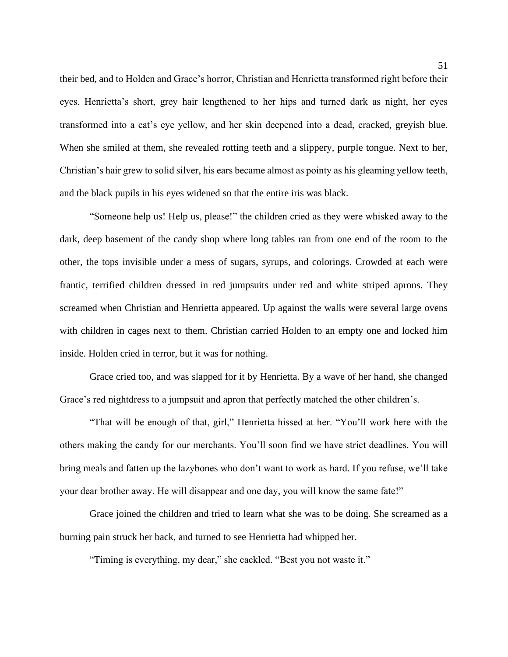their bed, and to Holden and Grace's horror, Christian and Henrietta transformed right before their eyes. Henrietta's short, grey hair lengthened to her hips and turned dark as night, her eyes transformed into a cat's eye yellow, and her skin deepened into a dead, cracked, greyish blue. When she smiled at them, she revealed rotting teeth and a slippery, purple tongue. Next to her, Christian's hair grew to solid silver, his ears became almost as pointy as his gleaming yellow teeth, and the black pupils in his eyes widened so that the entire iris was black.

"Someone help us! Help us, please!" the children cried as they were whisked away to the dark, deep basement of the candy shop where long tables ran from one end of the room to the other, the tops invisible under a mess of sugars, syrups, and colorings. Crowded at each were frantic, terrified children dressed in red jumpsuits under red and white striped aprons. They screamed when Christian and Henrietta appeared. Up against the walls were several large ovens with children in cages next to them. Christian carried Holden to an empty one and locked him inside. Holden cried in terror, but it was for nothing.

Grace cried too, and was slapped for it by Henrietta. By a wave of her hand, she changed Grace's red nightdress to a jumpsuit and apron that perfectly matched the other children's.

"That will be enough of that, girl," Henrietta hissed at her. "You'll work here with the others making the candy for our merchants. You'll soon find we have strict deadlines. You will bring meals and fatten up the lazybones who don't want to work as hard. If you refuse, we'll take your dear brother away. He will disappear and one day, you will know the same fate!"

Grace joined the children and tried to learn what she was to be doing. She screamed as a burning pain struck her back, and turned to see Henrietta had whipped her.

"Timing is everything, my dear," she cackled. "Best you not waste it."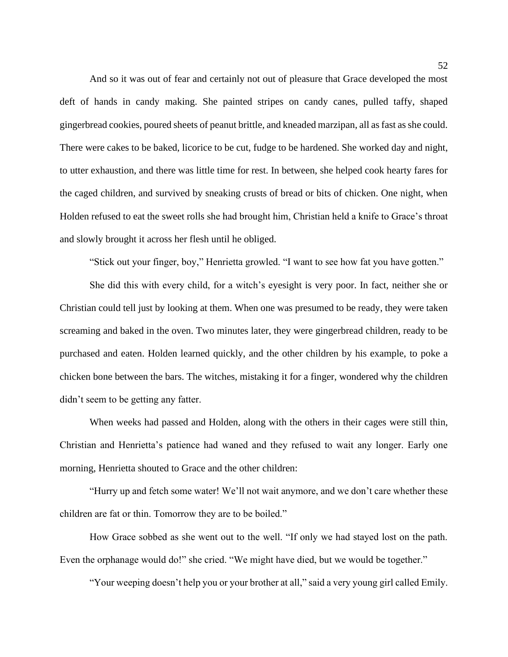And so it was out of fear and certainly not out of pleasure that Grace developed the most deft of hands in candy making. She painted stripes on candy canes, pulled taffy, shaped gingerbread cookies, poured sheets of peanut brittle, and kneaded marzipan, all as fast as she could. There were cakes to be baked, licorice to be cut, fudge to be hardened. She worked day and night, to utter exhaustion, and there was little time for rest. In between, she helped cook hearty fares for the caged children, and survived by sneaking crusts of bread or bits of chicken. One night, when Holden refused to eat the sweet rolls she had brought him, Christian held a knife to Grace's throat and slowly brought it across her flesh until he obliged.

"Stick out your finger, boy," Henrietta growled. "I want to see how fat you have gotten."

She did this with every child, for a witch's eyesight is very poor. In fact, neither she or Christian could tell just by looking at them. When one was presumed to be ready, they were taken screaming and baked in the oven. Two minutes later, they were gingerbread children, ready to be purchased and eaten. Holden learned quickly, and the other children by his example, to poke a chicken bone between the bars. The witches, mistaking it for a finger, wondered why the children didn't seem to be getting any fatter.

When weeks had passed and Holden, along with the others in their cages were still thin, Christian and Henrietta's patience had waned and they refused to wait any longer. Early one morning, Henrietta shouted to Grace and the other children:

"Hurry up and fetch some water! We'll not wait anymore, and we don't care whether these children are fat or thin. Tomorrow they are to be boiled."

How Grace sobbed as she went out to the well. "If only we had stayed lost on the path. Even the orphanage would do!" she cried. "We might have died, but we would be together."

"Your weeping doesn't help you or your brother at all," said a very young girl called Emily.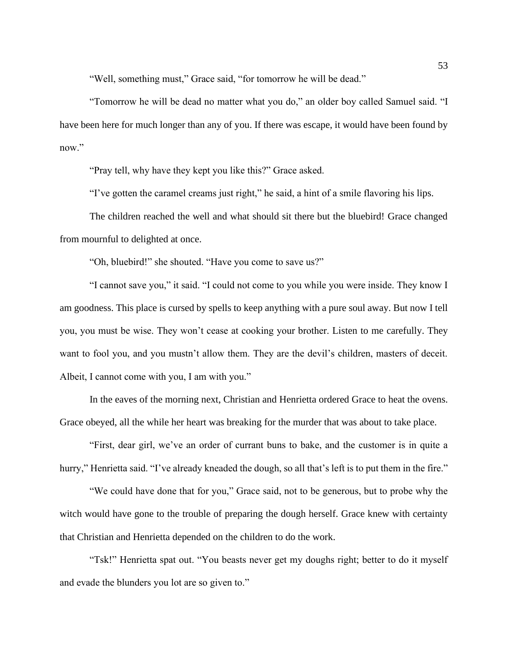"Well, something must," Grace said, "for tomorrow he will be dead."

"Tomorrow he will be dead no matter what you do," an older boy called Samuel said. "I have been here for much longer than any of you. If there was escape, it would have been found by now."

"Pray tell, why have they kept you like this?" Grace asked.

"I've gotten the caramel creams just right," he said, a hint of a smile flavoring his lips.

The children reached the well and what should sit there but the bluebird! Grace changed from mournful to delighted at once.

"Oh, bluebird!" she shouted. "Have you come to save us?"

"I cannot save you," it said. "I could not come to you while you were inside. They know I am goodness. This place is cursed by spells to keep anything with a pure soul away. But now I tell you, you must be wise. They won't cease at cooking your brother. Listen to me carefully. They want to fool you, and you mustn't allow them. They are the devil's children, masters of deceit. Albeit, I cannot come with you, I am with you."

In the eaves of the morning next, Christian and Henrietta ordered Grace to heat the ovens. Grace obeyed, all the while her heart was breaking for the murder that was about to take place.

"First, dear girl, we've an order of currant buns to bake, and the customer is in quite a hurry," Henrietta said. "I've already kneaded the dough, so all that's left is to put them in the fire."

"We could have done that for you," Grace said, not to be generous, but to probe why the witch would have gone to the trouble of preparing the dough herself. Grace knew with certainty that Christian and Henrietta depended on the children to do the work.

"Tsk!" Henrietta spat out. "You beasts never get my doughs right; better to do it myself and evade the blunders you lot are so given to."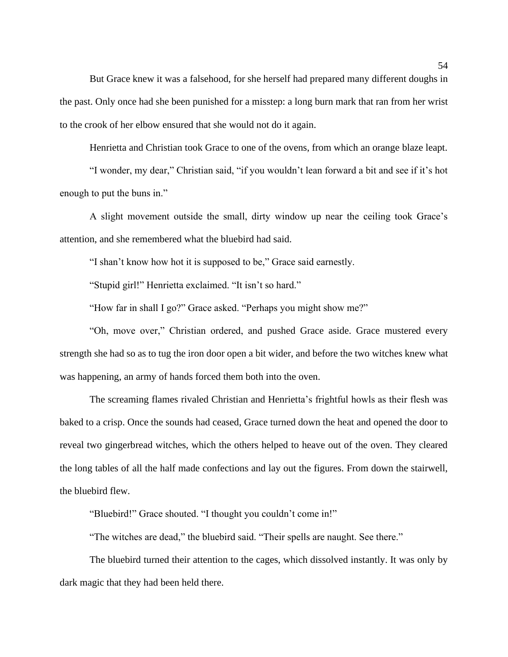But Grace knew it was a falsehood, for she herself had prepared many different doughs in the past. Only once had she been punished for a misstep: a long burn mark that ran from her wrist to the crook of her elbow ensured that she would not do it again.

Henrietta and Christian took Grace to one of the ovens, from which an orange blaze leapt.

"I wonder, my dear," Christian said, "if you wouldn't lean forward a bit and see if it's hot enough to put the buns in."

A slight movement outside the small, dirty window up near the ceiling took Grace's attention, and she remembered what the bluebird had said.

"I shan't know how hot it is supposed to be," Grace said earnestly.

"Stupid girl!" Henrietta exclaimed. "It isn't so hard."

"How far in shall I go?" Grace asked. "Perhaps you might show me?"

"Oh, move over," Christian ordered, and pushed Grace aside. Grace mustered every strength she had so as to tug the iron door open a bit wider, and before the two witches knew what was happening, an army of hands forced them both into the oven.

The screaming flames rivaled Christian and Henrietta's frightful howls as their flesh was baked to a crisp. Once the sounds had ceased, Grace turned down the heat and opened the door to reveal two gingerbread witches, which the others helped to heave out of the oven. They cleared the long tables of all the half made confections and lay out the figures. From down the stairwell, the bluebird flew.

"Bluebird!" Grace shouted. "I thought you couldn't come in!"

"The witches are dead," the bluebird said. "Their spells are naught. See there."

The bluebird turned their attention to the cages, which dissolved instantly. It was only by dark magic that they had been held there.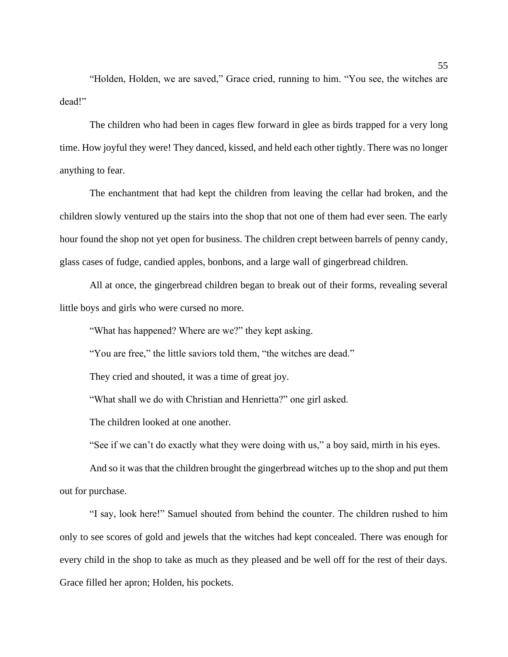"Holden, Holden, we are saved," Grace cried, running to him. "You see, the witches are dead!"

The children who had been in cages flew forward in glee as birds trapped for a very long time. How joyful they were! They danced, kissed, and held each other tightly. There was no longer anything to fear.

The enchantment that had kept the children from leaving the cellar had broken, and the children slowly ventured up the stairs into the shop that not one of them had ever seen. The early hour found the shop not yet open for business. The children crept between barrels of penny candy, glass cases of fudge, candied apples, bonbons, and a large wall of gingerbread children.

All at once, the gingerbread children began to break out of their forms, revealing several little boys and girls who were cursed no more.

"What has happened? Where are we?" they kept asking.

"You are free," the little saviors told them, "the witches are dead."

They cried and shouted, it was a time of great joy.

"What shall we do with Christian and Henrietta?" one girl asked.

The children looked at one another.

"See if we can't do exactly what they were doing with us," a boy said, mirth in his eyes.

And so it was that the children brought the gingerbread witches up to the shop and put them out for purchase.

"I say, look here!" Samuel shouted from behind the counter. The children rushed to him only to see scores of gold and jewels that the witches had kept concealed. There was enough for every child in the shop to take as much as they pleased and be well off for the rest of their days. Grace filled her apron; Holden, his pockets.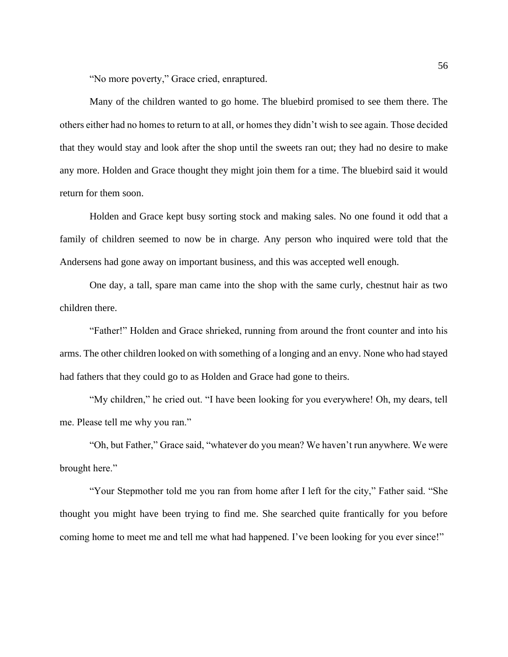"No more poverty," Grace cried, enraptured.

Many of the children wanted to go home. The bluebird promised to see them there. The others either had no homes to return to at all, or homes they didn't wish to see again. Those decided that they would stay and look after the shop until the sweets ran out; they had no desire to make any more. Holden and Grace thought they might join them for a time. The bluebird said it would return for them soon.

Holden and Grace kept busy sorting stock and making sales. No one found it odd that a family of children seemed to now be in charge. Any person who inquired were told that the Andersens had gone away on important business, and this was accepted well enough.

One day, a tall, spare man came into the shop with the same curly, chestnut hair as two children there.

"Father!" Holden and Grace shrieked, running from around the front counter and into his arms. The other children looked on with something of a longing and an envy. None who had stayed had fathers that they could go to as Holden and Grace had gone to theirs.

"My children," he cried out. "I have been looking for you everywhere! Oh, my dears, tell me. Please tell me why you ran."

"Oh, but Father," Grace said, "whatever do you mean? We haven't run anywhere. We were brought here."

"Your Stepmother told me you ran from home after I left for the city," Father said. "She thought you might have been trying to find me. She searched quite frantically for you before coming home to meet me and tell me what had happened. I've been looking for you ever since!"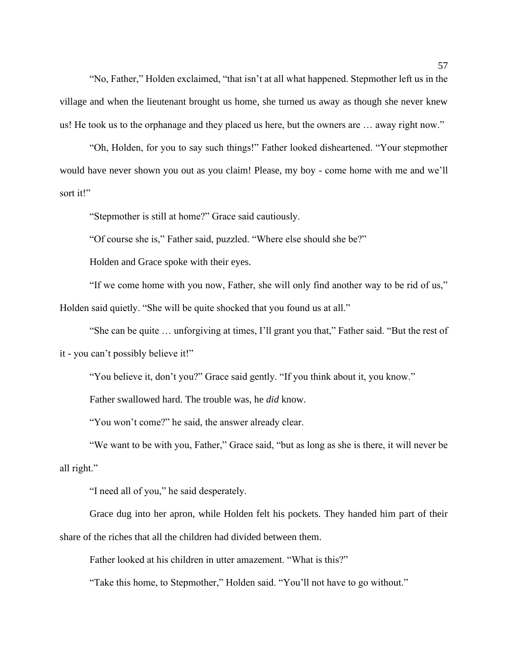"No, Father," Holden exclaimed, "that isn't at all what happened. Stepmother left us in the village and when the lieutenant brought us home, she turned us away as though she never knew us! He took us to the orphanage and they placed us here, but the owners are … away right now."

"Oh, Holden, for you to say such things!" Father looked disheartened. "Your stepmother would have never shown you out as you claim! Please, my boy - come home with me and we'll sort it!"

"Stepmother is still at home?" Grace said cautiously.

"Of course she is," Father said, puzzled. "Where else should she be?"

Holden and Grace spoke with their eyes.

"If we come home with you now, Father, she will only find another way to be rid of us,"

Holden said quietly. "She will be quite shocked that you found us at all."

"She can be quite … unforgiving at times, I'll grant you that," Father said. "But the rest of

it - you can't possibly believe it!"

"You believe it, don't you?" Grace said gently. "If you think about it, you know."

Father swallowed hard. The trouble was, he *did* know.

"You won't come?" he said, the answer already clear.

"We want to be with you, Father," Grace said, "but as long as she is there, it will never be all right."

"I need all of you," he said desperately.

Grace dug into her apron, while Holden felt his pockets. They handed him part of their share of the riches that all the children had divided between them.

Father looked at his children in utter amazement. "What is this?"

"Take this home, to Stepmother," Holden said. "You'll not have to go without."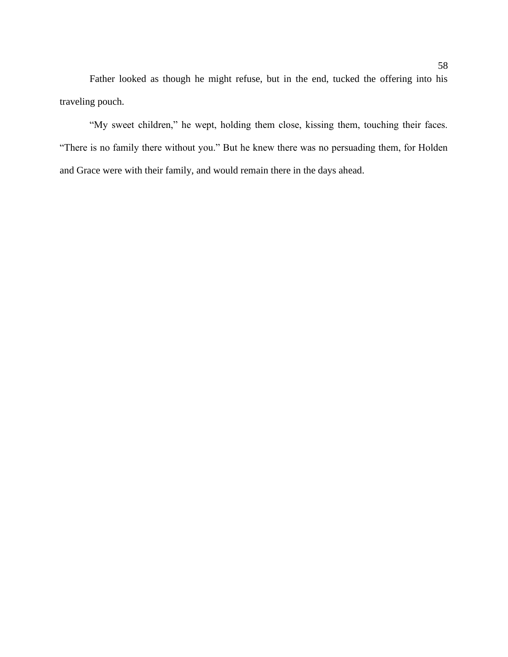Father looked as though he might refuse, but in the end, tucked the offering into his traveling pouch.

"My sweet children," he wept, holding them close, kissing them, touching their faces. "There is no family there without you." But he knew there was no persuading them, for Holden and Grace were with their family, and would remain there in the days ahead.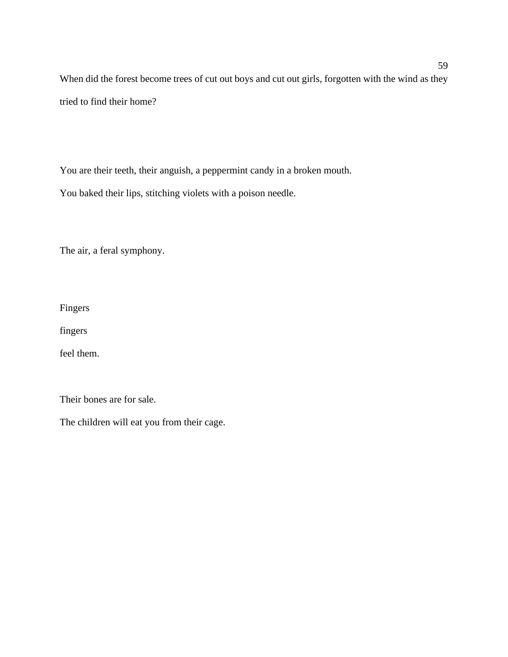When did the forest become trees of cut out boys and cut out girls, forgotten with the wind as they tried to find their home?

You are their teeth, their anguish, a peppermint candy in a broken mouth.

You baked their lips, stitching violets with a poison needle.

The air, a feral symphony.

Fingers

fingers

feel them.

Their bones are for sale.

The children will eat you from their cage.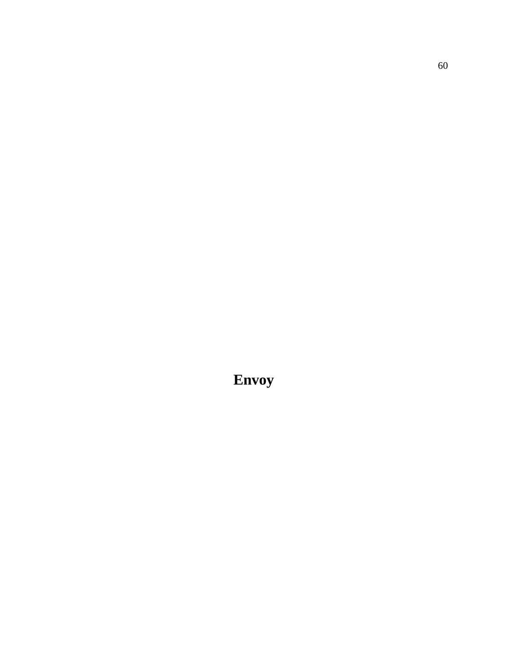**Envoy**